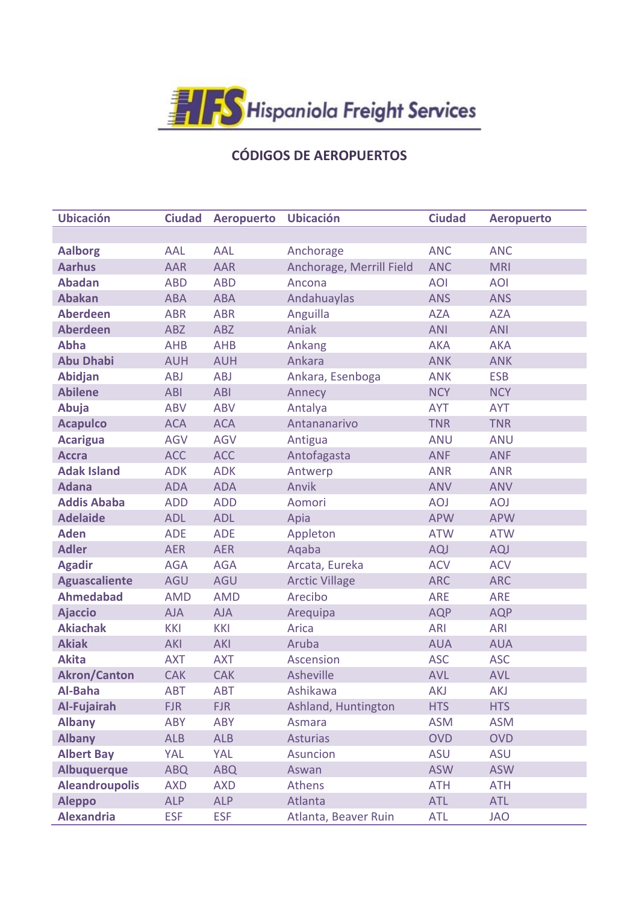

## CÓDIGOS DE AEROPUERTOS

| <b>Ubicación</b>      | <b>Ciudad</b> |                   | <b>Ubicación</b>         | <b>Ciudad</b> |                   |
|-----------------------|---------------|-------------------|--------------------------|---------------|-------------------|
|                       |               | <b>Aeropuerto</b> |                          |               | <b>Aeropuerto</b> |
| <b>Aalborg</b>        | <b>AAL</b>    | AAL               | Anchorage                | <b>ANC</b>    | <b>ANC</b>        |
| <b>Aarhus</b>         | <b>AAR</b>    | <b>AAR</b>        | Anchorage, Merrill Field | <b>ANC</b>    | <b>MRI</b>        |
| <b>Abadan</b>         | <b>ABD</b>    | <b>ABD</b>        | Ancona                   | <b>AOI</b>    | <b>AOI</b>        |
| <b>Abakan</b>         |               |                   |                          |               |                   |
| <b>Aberdeen</b>       | <b>ABA</b>    | <b>ABA</b>        | Andahuaylas              | <b>ANS</b>    | <b>ANS</b>        |
|                       | <b>ABR</b>    | <b>ABR</b>        | Anguilla                 | <b>AZA</b>    | <b>AZA</b>        |
| <b>Aberdeen</b>       | ABZ           | <b>ABZ</b>        | Aniak                    | <b>ANI</b>    | <b>ANI</b>        |
| <b>Abha</b>           | <b>AHB</b>    | <b>AHB</b>        | Ankang                   | <b>AKA</b>    | <b>AKA</b>        |
| <b>Abu Dhabi</b>      | <b>AUH</b>    | <b>AUH</b>        | Ankara                   | <b>ANK</b>    | <b>ANK</b>        |
| <b>Abidjan</b>        | <b>ABJ</b>    | <b>ABJ</b>        | Ankara, Esenboga         | <b>ANK</b>    | <b>ESB</b>        |
| <b>Abilene</b>        | <b>ABI</b>    | <b>ABI</b>        | Annecy                   | <b>NCY</b>    | <b>NCY</b>        |
| Abuja                 | <b>ABV</b>    | <b>ABV</b>        | Antalya                  | <b>AYT</b>    | <b>AYT</b>        |
| <b>Acapulco</b>       | <b>ACA</b>    | <b>ACA</b>        | Antananarivo             | <b>TNR</b>    | <b>TNR</b>        |
| <b>Acarigua</b>       | <b>AGV</b>    | <b>AGV</b>        | Antigua                  | <b>ANU</b>    | <b>ANU</b>        |
| <b>Accra</b>          | <b>ACC</b>    | <b>ACC</b>        | Antofagasta              | <b>ANF</b>    | <b>ANF</b>        |
| <b>Adak Island</b>    | <b>ADK</b>    | <b>ADK</b>        | Antwerp                  | <b>ANR</b>    | <b>ANR</b>        |
| <b>Adana</b>          | <b>ADA</b>    | <b>ADA</b>        | Anvik                    | <b>ANV</b>    | <b>ANV</b>        |
| <b>Addis Ababa</b>    | <b>ADD</b>    | <b>ADD</b>        | Aomori                   | <b>AOJ</b>    | <b>AOJ</b>        |
| <b>Adelaide</b>       | <b>ADL</b>    | <b>ADL</b>        | Apia                     | <b>APW</b>    | <b>APW</b>        |
| <b>Aden</b>           | <b>ADE</b>    | <b>ADE</b>        | Appleton                 | <b>ATW</b>    | <b>ATW</b>        |
| <b>Adler</b>          | <b>AER</b>    | <b>AER</b>        | Aqaba                    | AQJ           | AQJ               |
| <b>Agadir</b>         | <b>AGA</b>    | <b>AGA</b>        | Arcata, Eureka           | <b>ACV</b>    | <b>ACV</b>        |
| <b>Aguascaliente</b>  | AGU           | AGU               | <b>Arctic Village</b>    | <b>ARC</b>    | <b>ARC</b>        |
| <b>Ahmedabad</b>      | <b>AMD</b>    | <b>AMD</b>        | Arecibo                  | <b>ARE</b>    | <b>ARE</b>        |
| <b>Ajaccio</b>        | <b>AJA</b>    | <b>AJA</b>        | Arequipa                 | <b>AQP</b>    | <b>AQP</b>        |
| <b>Akiachak</b>       | <b>KKI</b>    | <b>KKI</b>        | Arica                    | <b>ARI</b>    | <b>ARI</b>        |
| <b>Akiak</b>          | <b>AKI</b>    | <b>AKI</b>        | Aruba                    | <b>AUA</b>    | <b>AUA</b>        |
| <b>Akita</b>          | <b>AXT</b>    | <b>AXT</b>        | <b>Ascension</b>         | <b>ASC</b>    | <b>ASC</b>        |
| <b>Akron/Canton</b>   | <b>CAK</b>    | <b>CAK</b>        | Asheville                | <b>AVL</b>    | <b>AVL</b>        |
| Al-Baha               | ABT           | ABT               | Ashikawa                 | <b>AKJ</b>    | <b>AKJ</b>        |
| Al-Fujairah           | <b>FJR</b>    | <b>FJR</b>        | Ashland, Huntington      | <b>HTS</b>    | <b>HTS</b>        |
| <b>Albany</b>         | ABY           | <b>ABY</b>        | Asmara                   | <b>ASM</b>    | <b>ASM</b>        |
| <b>Albany</b>         | <b>ALB</b>    | <b>ALB</b>        | <b>Asturias</b>          | <b>OVD</b>    | <b>OVD</b>        |
| <b>Albert Bay</b>     | YAL           | YAL               | Asuncion                 | <b>ASU</b>    | <b>ASU</b>        |
| <b>Albuquerque</b>    | <b>ABQ</b>    | <b>ABQ</b>        | Aswan                    | <b>ASW</b>    | <b>ASW</b>        |
| <b>Aleandroupolis</b> | <b>AXD</b>    | <b>AXD</b>        | <b>Athens</b>            | <b>ATH</b>    | <b>ATH</b>        |
| <b>Aleppo</b>         | <b>ALP</b>    | <b>ALP</b>        | Atlanta                  | <b>ATL</b>    | <b>ATL</b>        |
| <b>Alexandria</b>     | <b>ESF</b>    | <b>ESF</b>        | Atlanta, Beaver Ruin     | <b>ATL</b>    | <b>JAO</b>        |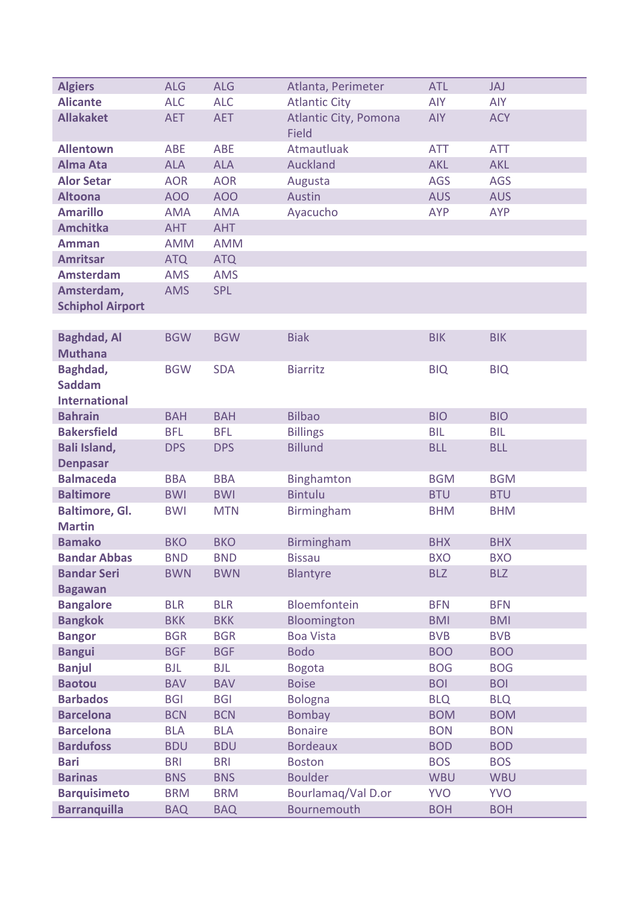| <b>Algiers</b>          | <b>ALG</b>      | <b>ALG</b> | Atlanta, Perimeter                    | <b>ATL</b> | JAJ        |
|-------------------------|-----------------|------------|---------------------------------------|------------|------------|
| <b>Alicante</b>         | <b>ALC</b>      | <b>ALC</b> | <b>Atlantic City</b>                  | <b>AIY</b> | <b>AIY</b> |
| <b>Allakaket</b>        | <b>AET</b>      | <b>AET</b> | Atlantic City, Pomona<br><b>Field</b> | <b>AIY</b> | <b>ACY</b> |
| <b>Allentown</b>        | <b>ABE</b>      | <b>ABE</b> | Atmautluak                            | <b>ATT</b> | <b>ATT</b> |
| <b>Alma Ata</b>         | <b>ALA</b>      | <b>ALA</b> | Auckland                              | <b>AKL</b> | <b>AKL</b> |
| <b>Alor Setar</b>       | <b>AOR</b>      | <b>AOR</b> | Augusta                               | <b>AGS</b> | <b>AGS</b> |
| <b>Altoona</b>          | AO <sub>O</sub> | <b>AOO</b> | Austin                                | <b>AUS</b> | <b>AUS</b> |
| <b>Amarillo</b>         | <b>AMA</b>      | <b>AMA</b> | Ayacucho                              | <b>AYP</b> | <b>AYP</b> |
| <b>Amchitka</b>         | <b>AHT</b>      | <b>AHT</b> |                                       |            |            |
| <b>Amman</b>            | <b>AMM</b>      | <b>AMM</b> |                                       |            |            |
| <b>Amritsar</b>         | <b>ATQ</b>      | <b>ATQ</b> |                                       |            |            |
| <b>Amsterdam</b>        | <b>AMS</b>      | <b>AMS</b> |                                       |            |            |
| Amsterdam,              | <b>AMS</b>      | <b>SPL</b> |                                       |            |            |
| <b>Schiphol Airport</b> |                 |            |                                       |            |            |
|                         |                 |            |                                       |            |            |
| <b>Baghdad, Al</b>      | <b>BGW</b>      | <b>BGW</b> | <b>Biak</b>                           | <b>BIK</b> | <b>BIK</b> |
| <b>Muthana</b>          |                 |            |                                       |            |            |
| Baghdad,                | <b>BGW</b>      | <b>SDA</b> | <b>Biarritz</b>                       | <b>BIQ</b> | <b>BIQ</b> |
| <b>Saddam</b>           |                 |            |                                       |            |            |
| <b>International</b>    |                 |            |                                       |            |            |
| <b>Bahrain</b>          | <b>BAH</b>      | <b>BAH</b> | <b>Bilbao</b>                         | <b>BIO</b> | <b>BIO</b> |
| <b>Bakersfield</b>      | <b>BFL</b>      | <b>BFL</b> | <b>Billings</b>                       | <b>BIL</b> | <b>BIL</b> |
| Bali Island,            | <b>DPS</b>      | <b>DPS</b> | <b>Billund</b>                        | <b>BLL</b> | <b>BLL</b> |
| <b>Denpasar</b>         |                 |            |                                       |            |            |
| <b>Balmaceda</b>        | <b>BBA</b>      | <b>BBA</b> | Binghamton                            | <b>BGM</b> | <b>BGM</b> |
| <b>Baltimore</b>        | <b>BWI</b>      | <b>BWI</b> | <b>Bintulu</b>                        | <b>BTU</b> | <b>BTU</b> |
| <b>Baltimore, Gl.</b>   | <b>BWI</b>      | <b>MTN</b> | Birmingham                            | <b>BHM</b> | <b>BHM</b> |
| <b>Martin</b>           |                 |            |                                       |            |            |
| <b>Bamako</b>           | <b>BKO</b>      | <b>BKO</b> | Birmingham                            | <b>BHX</b> | <b>BHX</b> |
| <b>Bandar Abbas</b>     | <b>BND</b>      | <b>BND</b> | <b>Bissau</b>                         | <b>BXO</b> | <b>BXO</b> |
| <b>Bandar Seri</b>      | <b>BWN</b>      | <b>BWN</b> | <b>Blantyre</b>                       | <b>BLZ</b> | <b>BLZ</b> |
| <b>Bagawan</b>          |                 |            |                                       |            |            |
| <b>Bangalore</b>        | <b>BLR</b>      | <b>BLR</b> | Bloemfontein                          | <b>BFN</b> | <b>BFN</b> |
| <b>Bangkok</b>          | <b>BKK</b>      | <b>BKK</b> | Bloomington                           | <b>BMI</b> | <b>BMI</b> |
| <b>Bangor</b>           | <b>BGR</b>      | <b>BGR</b> | <b>Boa Vista</b>                      | <b>BVB</b> | <b>BVB</b> |
| <b>Bangui</b>           | <b>BGF</b>      | <b>BGF</b> | <b>Bodo</b>                           | <b>BOO</b> | <b>BOO</b> |
| <b>Banjul</b>           | <b>BJL</b>      | <b>BJL</b> | <b>Bogota</b>                         | <b>BOG</b> | <b>BOG</b> |
| <b>Baotou</b>           | <b>BAV</b>      | <b>BAV</b> | <b>Boise</b>                          | <b>BOI</b> | <b>BOI</b> |
| <b>Barbados</b>         | <b>BGI</b>      | <b>BGI</b> | <b>Bologna</b>                        | <b>BLQ</b> | <b>BLQ</b> |
| <b>Barcelona</b>        | <b>BCN</b>      | <b>BCN</b> | <b>Bombay</b>                         | <b>BOM</b> | <b>BOM</b> |
| <b>Barcelona</b>        | <b>BLA</b>      | <b>BLA</b> | <b>Bonaire</b>                        | <b>BON</b> | <b>BON</b> |
| <b>Bardufoss</b>        | <b>BDU</b>      | <b>BDU</b> | <b>Bordeaux</b>                       | <b>BOD</b> | <b>BOD</b> |
| <b>Bari</b>             | <b>BRI</b>      | <b>BRI</b> | <b>Boston</b>                         | <b>BOS</b> | <b>BOS</b> |
| <b>Barinas</b>          | <b>BNS</b>      | <b>BNS</b> | <b>Boulder</b>                        | <b>WBU</b> | <b>WBU</b> |
| <b>Barquisimeto</b>     | <b>BRM</b>      | <b>BRM</b> | Bourlamaq/Val D.or                    | <b>YVO</b> | <b>YVO</b> |
| <b>Barranquilla</b>     | <b>BAQ</b>      | <b>BAQ</b> | Bournemouth                           | <b>BOH</b> | <b>BOH</b> |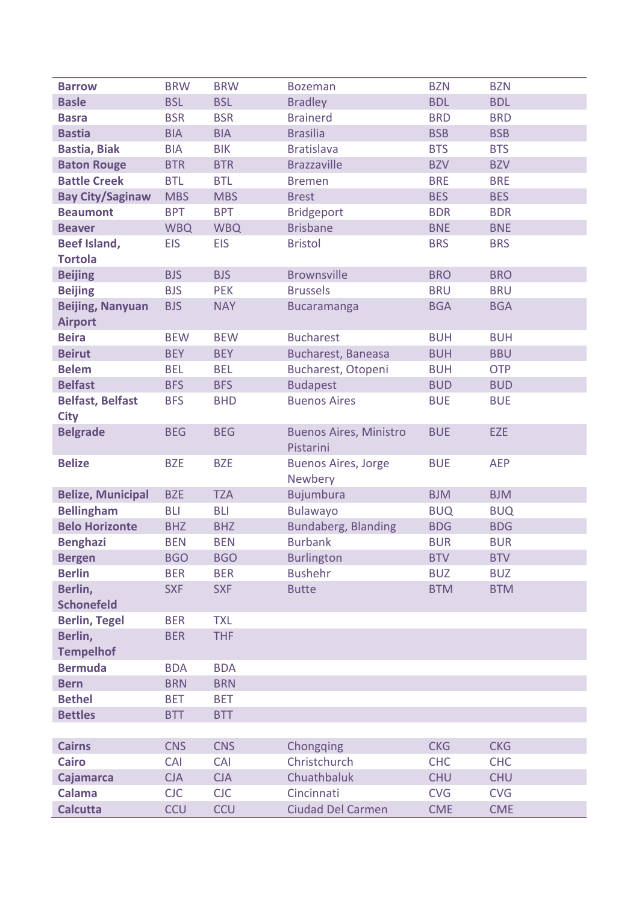| <b>Barrow</b>            | <b>BRW</b> | <b>BRW</b> | <b>Bozeman</b>                             | <b>BZN</b> | <b>BZN</b> |
|--------------------------|------------|------------|--------------------------------------------|------------|------------|
| <b>Basle</b>             | <b>BSL</b> | <b>BSL</b> | <b>Bradley</b>                             | <b>BDL</b> | <b>BDL</b> |
| <b>Basra</b>             | <b>BSR</b> | <b>BSR</b> | <b>Brainerd</b>                            | <b>BRD</b> | <b>BRD</b> |
| <b>Bastia</b>            | <b>BIA</b> | <b>BIA</b> | <b>Brasilia</b>                            | <b>BSB</b> | <b>BSB</b> |
| <b>Bastia, Biak</b>      | <b>BIA</b> | <b>BIK</b> | <b>Bratislava</b>                          | <b>BTS</b> | <b>BTS</b> |
| <b>Baton Rouge</b>       | <b>BTR</b> | <b>BTR</b> | <b>Brazzaville</b>                         | <b>BZV</b> | <b>BZV</b> |
| <b>Battle Creek</b>      | <b>BTL</b> | <b>BTL</b> | <b>Bremen</b>                              | <b>BRE</b> | <b>BRE</b> |
| <b>Bay City/Saginaw</b>  | <b>MBS</b> | <b>MBS</b> | <b>Brest</b>                               | <b>BES</b> | <b>BES</b> |
| <b>Beaumont</b>          | <b>BPT</b> | <b>BPT</b> | <b>Bridgeport</b>                          | <b>BDR</b> | <b>BDR</b> |
| <b>Beaver</b>            | <b>WBQ</b> | <b>WBQ</b> | <b>Brisbane</b>                            | <b>BNE</b> | <b>BNE</b> |
| <b>Beef Island,</b>      | <b>EIS</b> | <b>EIS</b> | <b>Bristol</b>                             | <b>BRS</b> | <b>BRS</b> |
| <b>Tortola</b>           |            |            |                                            |            |            |
| <b>Beijing</b>           | <b>BJS</b> | <b>BJS</b> | <b>Brownsville</b>                         | <b>BRO</b> | <b>BRO</b> |
| <b>Beijing</b>           | <b>BJS</b> | <b>PEK</b> | <b>Brussels</b>                            | <b>BRU</b> | <b>BRU</b> |
| <b>Beijing, Nanyuan</b>  | <b>BJS</b> | <b>NAY</b> | <b>Bucaramanga</b>                         | <b>BGA</b> | <b>BGA</b> |
| <b>Airport</b>           |            |            |                                            |            |            |
| <b>Beira</b>             | <b>BEW</b> | <b>BEW</b> | <b>Bucharest</b>                           | <b>BUH</b> | <b>BUH</b> |
| <b>Beirut</b>            | <b>BEY</b> | <b>BEY</b> | Bucharest, Baneasa                         | <b>BUH</b> | <b>BBU</b> |
| <b>Belem</b>             | <b>BEL</b> | <b>BEL</b> | Bucharest, Otopeni                         | <b>BUH</b> | <b>OTP</b> |
| <b>Belfast</b>           | <b>BFS</b> | <b>BFS</b> | <b>Budapest</b>                            | <b>BUD</b> | <b>BUD</b> |
| <b>Belfast, Belfast</b>  | <b>BFS</b> | <b>BHD</b> | <b>Buenos Aires</b>                        | <b>BUE</b> | <b>BUE</b> |
| <b>City</b>              |            |            |                                            |            |            |
| <b>Belgrade</b>          | <b>BEG</b> | <b>BEG</b> | <b>Buenos Aires, Ministro</b><br>Pistarini | <b>BUE</b> | <b>EZE</b> |
| <b>Belize</b>            | <b>BZE</b> | <b>BZE</b> | <b>Buenos Aires, Jorge</b><br>Newbery      | <b>BUE</b> | <b>AEP</b> |
| <b>Belize, Municipal</b> | <b>BZE</b> | <b>TZA</b> | Bujumbura                                  | <b>BJM</b> | <b>BJM</b> |
| <b>Bellingham</b>        | <b>BLI</b> | <b>BLI</b> | <b>Bulawayo</b>                            | <b>BUQ</b> | <b>BUQ</b> |
| <b>Belo Horizonte</b>    | <b>BHZ</b> | <b>BHZ</b> | Bundaberg, Blanding                        | <b>BDG</b> | <b>BDG</b> |
| <b>Benghazi</b>          | <b>BEN</b> | <b>BEN</b> | <b>Burbank</b>                             | <b>BUR</b> | <b>BUR</b> |
| <b>Bergen</b>            | <b>BGO</b> | <b>BGO</b> | <b>Burlington</b>                          | <b>BTV</b> | <b>BTV</b> |
| <b>Berlin</b>            | <b>BER</b> | <b>BER</b> | <b>Bushehr</b>                             | <b>BUZ</b> | <b>BUZ</b> |
| Berlin,                  | <b>SXF</b> | <b>SXF</b> | <b>Butte</b>                               | <b>BTM</b> | <b>BTM</b> |
| <b>Schonefeld</b>        |            |            |                                            |            |            |
| <b>Berlin, Tegel</b>     | <b>BER</b> | <b>TXL</b> |                                            |            |            |
| Berlin,                  | <b>BER</b> | <b>THF</b> |                                            |            |            |
| <b>Tempelhof</b>         |            |            |                                            |            |            |
| <b>Bermuda</b>           | <b>BDA</b> | <b>BDA</b> |                                            |            |            |
| <b>Bern</b>              | <b>BRN</b> | <b>BRN</b> |                                            |            |            |
| <b>Bethel</b>            | <b>BET</b> | <b>BET</b> |                                            |            |            |
| <b>Bettles</b>           | <b>BTT</b> | <b>BTT</b> |                                            |            |            |
|                          |            |            |                                            |            |            |
| <b>Cairns</b>            | <b>CNS</b> | <b>CNS</b> | Chongqing                                  | <b>CKG</b> | <b>CKG</b> |
| <b>Cairo</b>             | <b>CAI</b> | CAI        | Christchurch                               | <b>CHC</b> | <b>CHC</b> |
| <b>Cajamarca</b>         | <b>CJA</b> | <b>CJA</b> | Chuathbaluk                                | <b>CHU</b> | <b>CHU</b> |
| <b>Calama</b>            | <b>CJC</b> | <b>CJC</b> | Cincinnati                                 | <b>CVG</b> | <b>CVG</b> |
| <b>Calcutta</b>          | <b>CCU</b> | <b>CCU</b> | <b>Ciudad Del Carmen</b>                   | <b>CME</b> | <b>CME</b> |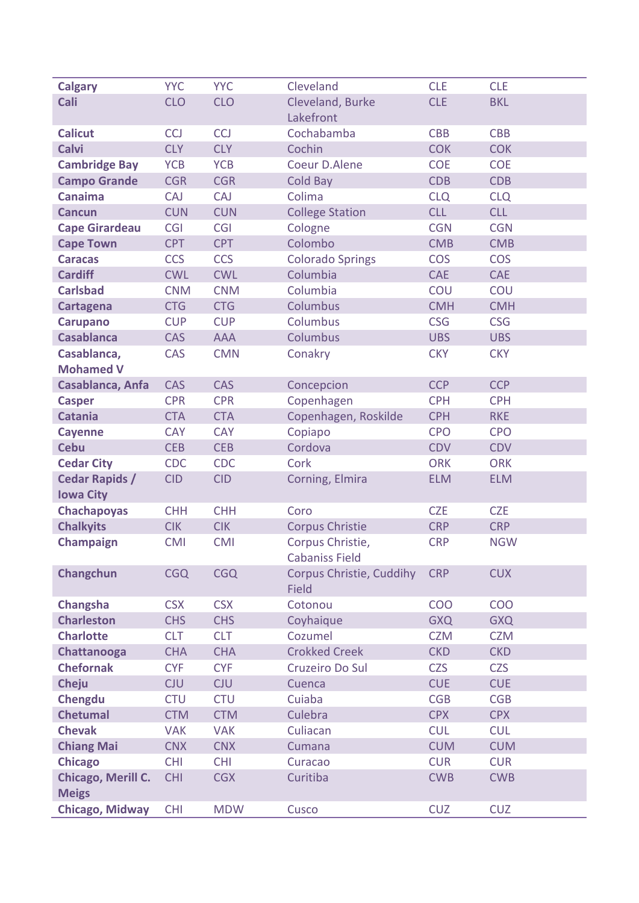| <b>Calgary</b>                | <b>YYC</b>               | <b>YYC</b>               | Cleveland                | <b>CLE</b>               | <b>CLE</b>               |
|-------------------------------|--------------------------|--------------------------|--------------------------|--------------------------|--------------------------|
| Cali                          | <b>CLO</b>               | <b>CLO</b>               | Cleveland, Burke         | <b>CLE</b>               | <b>BKL</b>               |
|                               |                          |                          | Lakefront                |                          |                          |
| <b>Calicut</b>                | <b>CCJ</b>               | <b>CCJ</b>               | Cochabamba               | <b>CBB</b>               | <b>CBB</b>               |
| <b>Calvi</b>                  | <b>CLY</b>               | <b>CLY</b>               | Cochin                   | <b>COK</b>               | <b>COK</b>               |
| <b>Cambridge Bay</b>          | <b>YCB</b>               | <b>YCB</b>               | Coeur D.Alene            | <b>COE</b>               | <b>COE</b>               |
| <b>Campo Grande</b>           | <b>CGR</b>               | <b>CGR</b>               | Cold Bay                 | <b>CDB</b>               | <b>CDB</b>               |
| <b>Canaima</b>                | <b>CAJ</b>               | CAJ                      | Colima                   | <b>CLQ</b>               | <b>CLQ</b>               |
| <b>Cancun</b>                 | <b>CUN</b>               | <b>CUN</b>               | <b>College Station</b>   | <b>CLL</b>               | <b>CLL</b>               |
| <b>Cape Girardeau</b>         | <b>CGI</b>               | <b>CGI</b>               | Cologne                  | <b>CGN</b>               | <b>CGN</b>               |
| <b>Cape Town</b>              | <b>CPT</b>               | <b>CPT</b>               | Colombo                  | <b>CMB</b>               | <b>CMB</b>               |
| <b>Caracas</b>                | <b>CCS</b>               | <b>CCS</b>               | <b>Colorado Springs</b>  | <b>COS</b>               | <b>COS</b>               |
| <b>Cardiff</b>                | <b>CWL</b>               | <b>CWL</b>               | Columbia                 | <b>CAE</b>               | <b>CAE</b>               |
| <b>Carlsbad</b>               | <b>CNM</b>               | <b>CNM</b>               | Columbia                 | COU                      | COU                      |
| Cartagena                     | <b>CTG</b>               | <b>CTG</b>               | Columbus                 | <b>CMH</b>               | <b>CMH</b>               |
| <b>Carupano</b>               | <b>CUP</b>               | <b>CUP</b>               | Columbus                 | <b>CSG</b>               | <b>CSG</b>               |
| <b>Casablanca</b>             | CAS                      | <b>AAA</b>               | Columbus                 | <b>UBS</b>               | <b>UBS</b>               |
| Casablanca,                   | <b>CAS</b>               | <b>CMN</b>               | Conakry                  | <b>CKY</b>               | <b>CKY</b>               |
| <b>Mohamed V</b>              |                          |                          |                          |                          |                          |
| Casablanca, Anfa              | <b>CAS</b>               | <b>CAS</b>               | Concepcion               | <b>CCP</b>               | <b>CCP</b>               |
| <b>Casper</b>                 | <b>CPR</b>               | <b>CPR</b>               | Copenhagen               | <b>CPH</b>               | <b>CPH</b>               |
| <b>Catania</b>                | <b>CTA</b>               | <b>CTA</b>               | Copenhagen, Roskilde     | <b>CPH</b>               | <b>RKE</b>               |
| <b>Cayenne</b>                | <b>CAY</b>               | <b>CAY</b>               | Copiapo                  | <b>CPO</b>               | <b>CPO</b>               |
| <b>Cebu</b>                   | <b>CEB</b>               | <b>CEB</b>               | Cordova                  | <b>CDV</b>               | <b>CDV</b>               |
| <b>Cedar City</b>             | <b>CDC</b>               | <b>CDC</b>               | Cork                     | <b>ORK</b>               | <b>ORK</b>               |
| <b>Cedar Rapids /</b>         | <b>CID</b>               | <b>CID</b>               | Corning, Elmira          | <b>ELM</b>               | <b>ELM</b>               |
| <b>Iowa City</b>              |                          |                          |                          |                          |                          |
| <b>Chachapoyas</b>            | <b>CHH</b>               | <b>CHH</b>               | Coro                     | <b>CZE</b>               | <b>CZE</b>               |
| <b>Chalkyits</b>              | <b>CIK</b>               | <b>CIK</b>               | <b>Corpus Christie</b>   | <b>CRP</b>               | <b>CRP</b>               |
| Champaign                     | <b>CMI</b>               | <b>CMI</b>               | Corpus Christie,         | <b>CRP</b>               | <b>NGW</b>               |
|                               |                          |                          | <b>Cabaniss Field</b>    |                          |                          |
| Changchun                     | <b>CGQ</b>               | <b>CGQ</b>               | Corpus Christie, Cuddihy | <b>CRP</b>               | <b>CUX</b>               |
|                               |                          |                          | <b>Field</b>             |                          |                          |
| Changsha<br><b>Charleston</b> | <b>CSX</b>               | <b>CSX</b><br><b>CHS</b> | Cotonou<br>Coyhaique     | <b>COO</b>               | <b>COO</b>               |
| <b>Charlotte</b>              | <b>CHS</b><br><b>CLT</b> | <b>CLT</b>               | Cozumel                  | <b>GXQ</b><br><b>CZM</b> | <b>GXQ</b><br><b>CZM</b> |
| Chattanooga                   | <b>CHA</b>               | <b>CHA</b>               | <b>Crokked Creek</b>     | <b>CKD</b>               | <b>CKD</b>               |
| <b>Chefornak</b>              | <b>CYF</b>               | <b>CYF</b>               | Cruzeiro Do Sul          | <b>CZS</b>               | <b>CZS</b>               |
| Cheju                         | <b>CJU</b>               | <b>CJU</b>               | Cuenca                   | <b>CUE</b>               | <b>CUE</b>               |
| Chengdu                       | <b>CTU</b>               | <b>CTU</b>               | Cuiaba                   | <b>CGB</b>               | <b>CGB</b>               |
| <b>Chetumal</b>               | <b>CTM</b>               | <b>CTM</b>               | Culebra                  | <b>CPX</b>               | <b>CPX</b>               |
| <b>Chevak</b>                 | <b>VAK</b>               | <b>VAK</b>               | Culiacan                 | <b>CUL</b>               | <b>CUL</b>               |
| <b>Chiang Mai</b>             | <b>CNX</b>               | <b>CNX</b>               | Cumana                   | <b>CUM</b>               | <b>CUM</b>               |
| <b>Chicago</b>                | <b>CHI</b>               | <b>CHI</b>               | Curacao                  | <b>CUR</b>               | <b>CUR</b>               |
| Chicago, Merill C.            | <b>CHI</b>               | <b>CGX</b>               | Curitiba                 | <b>CWB</b>               | <b>CWB</b>               |
| <b>Meigs</b>                  |                          |                          |                          |                          |                          |
| <b>Chicago, Midway</b>        | <b>CHI</b>               | <b>MDW</b>               | Cusco                    | <b>CUZ</b>               | <b>CUZ</b>               |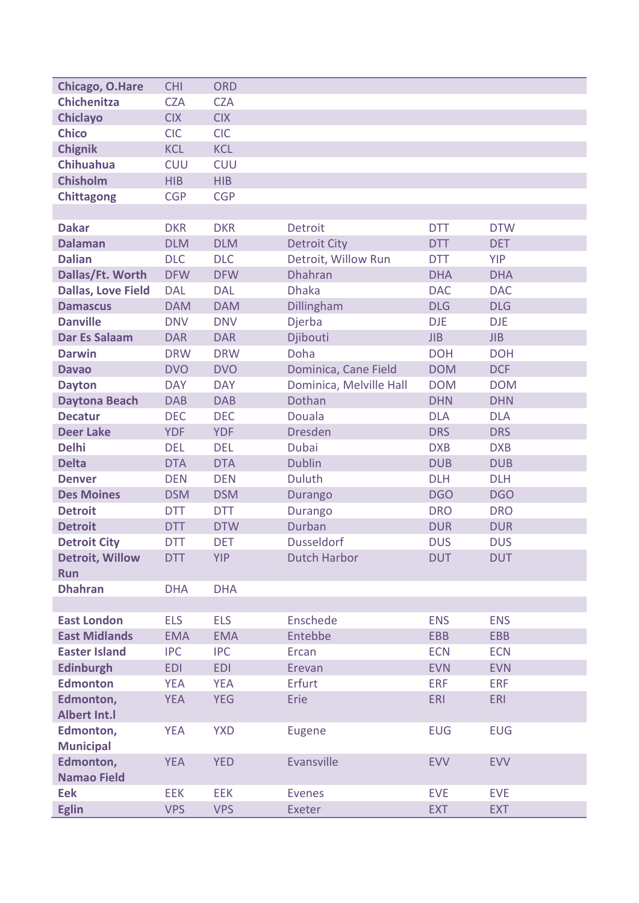| <b>Chichenitza</b><br><b>CZA</b><br><b>CZA</b><br><b>Chiclayo</b><br><b>CIX</b><br><b>CIX</b><br><b>Chico</b><br><b>CIC</b><br><b>CIC</b><br><b>Chignik</b><br><b>KCL</b><br><b>KCL</b><br><b>CUU</b><br><b>Chihuahua</b><br><b>CUU</b><br><b>Chisholm</b><br><b>HIB</b><br><b>HIB</b><br><b>CGP</b><br><b>CGP</b><br><b>Chittagong</b><br><b>DKR</b><br><b>Dakar</b><br><b>DKR</b><br>Detroit<br><b>DTT</b><br><b>DTW</b><br><b>Dalaman</b><br><b>DLM</b><br><b>DLM</b><br><b>Detroit City</b><br><b>DET</b><br><b>DTT</b><br><b>Dalian</b><br><b>DLC</b><br><b>DLC</b><br><b>YIP</b><br>Detroit, Willow Run<br><b>DTT</b><br>Dallas/Ft. Worth<br><b>Dhahran</b><br><b>DFW</b><br><b>DFW</b><br><b>DHA</b><br><b>DHA</b><br><b>Dhaka</b><br><b>Dallas, Love Field</b><br><b>DAL</b><br><b>DAL</b><br><b>DAC</b><br><b>DAC</b><br>Dillingham<br><b>DLG</b><br><b>DLG</b><br><b>DAM</b><br><b>DAM</b><br><b>Damascus</b><br><b>Danville</b><br><b>DNV</b><br><b>DNV</b><br>Djerba<br><b>DJE</b><br><b>DJE</b><br><b>Dar Es Salaam</b><br>Djibouti<br><b>DAR</b><br><b>JIB</b><br>JIB<br><b>DAR</b><br>Doha<br><b>Darwin</b><br><b>DRW</b><br><b>DRW</b><br><b>DOH</b><br><b>DOH</b><br>Dominica, Cane Field<br><b>DCF</b><br><b>DVO</b><br><b>DVO</b><br><b>DOM</b><br><b>Davao</b><br><b>DAY</b><br><b>DAY</b><br>Dominica, Melville Hall<br><b>DOM</b><br><b>DOM</b><br><b>Dayton</b><br>Dothan<br><b>DAB</b><br><b>DAB</b><br><b>DHN</b><br><b>DHN</b><br><b>Daytona Beach</b><br><b>DEC</b><br><b>DEC</b><br>Douala<br><b>DLA</b><br><b>DLA</b><br><b>Decatur</b><br><b>Dresden</b><br><b>DRS</b><br><b>Deer Lake</b><br><b>YDF</b><br><b>YDF</b><br><b>DRS</b><br><b>Delhi</b><br><b>Dubai</b><br><b>DEL</b><br><b>DEL</b><br><b>DXB</b><br><b>DXB</b><br><b>Delta</b><br><b>Dublin</b><br><b>DTA</b><br><b>DTA</b><br><b>DUB</b><br><b>DUB</b><br><b>DLH</b><br><b>DEN</b><br><b>DEN</b><br><b>Duluth</b><br><b>DLH</b><br><b>Denver</b><br><b>Des Moines</b><br><b>DSM</b><br><b>DSM</b><br><b>DGO</b><br><b>DGO</b><br>Durango<br><b>Detroit</b><br><b>DTT</b><br><b>DTT</b><br><b>DRO</b><br><b>DRO</b><br><b>Durango</b><br>Durban<br><b>Detroit</b><br><b>DUR</b><br><b>DTT</b><br><b>DTW</b><br><b>DUR</b><br><b>Dusseldorf</b><br><b>Detroit City</b><br><b>DTT</b><br><b>DET</b><br><b>DUS</b><br><b>DUS</b><br><b>Detroit, Willow</b><br><b>YIP</b><br><b>Dutch Harbor</b><br><b>DUT</b><br><b>DUT</b><br><b>DTT</b><br><b>Run</b><br><b>Dhahran</b><br><b>DHA</b><br><b>DHA</b><br><b>East London</b><br><b>ELS</b><br>Enschede<br><b>ELS</b><br><b>ENS</b><br><b>ENS</b><br>Entebbe<br><b>East Midlands</b><br><b>EMA</b><br><b>EBB</b><br><b>EMA</b><br><b>EBB</b><br><b>Easter Island</b><br><b>IPC</b><br><b>IPC</b><br>Ercan<br><b>ECN</b><br><b>ECN</b><br><b>Edinburgh</b><br><b>EDI</b><br><b>EDI</b><br>Erevan<br><b>EVN</b><br><b>EVN</b><br><b>Edmonton</b><br>Erfurt<br><b>ERF</b><br><b>YEA</b><br><b>YEA</b><br><b>ERF</b><br>Edmonton,<br>Erie<br><b>YEA</b><br><b>YEG</b><br><b>ERI</b><br><b>ERI</b><br><b>Albert Int.I</b><br>Edmonton,<br><b>YEA</b><br><b>YXD</b><br><b>EUG</b><br><b>EUG</b><br>Eugene<br><b>Municipal</b><br>Edmonton,<br>Evansville<br><b>YEA</b><br><b>YED</b><br><b>EVV</b><br><b>EVV</b><br><b>Namao Field</b><br><b>Eek</b><br><b>EVE</b><br><b>EEK</b><br><b>EEK</b><br><b>EVE</b><br><b>Evenes</b><br><b>Eglin</b><br><b>VPS</b><br><b>VPS</b><br>Exeter<br><b>EXT</b><br><b>EXT</b> |                 |            |            |  |  |
|--------------------------------------------------------------------------------------------------------------------------------------------------------------------------------------------------------------------------------------------------------------------------------------------------------------------------------------------------------------------------------------------------------------------------------------------------------------------------------------------------------------------------------------------------------------------------------------------------------------------------------------------------------------------------------------------------------------------------------------------------------------------------------------------------------------------------------------------------------------------------------------------------------------------------------------------------------------------------------------------------------------------------------------------------------------------------------------------------------------------------------------------------------------------------------------------------------------------------------------------------------------------------------------------------------------------------------------------------------------------------------------------------------------------------------------------------------------------------------------------------------------------------------------------------------------------------------------------------------------------------------------------------------------------------------------------------------------------------------------------------------------------------------------------------------------------------------------------------------------------------------------------------------------------------------------------------------------------------------------------------------------------------------------------------------------------------------------------------------------------------------------------------------------------------------------------------------------------------------------------------------------------------------------------------------------------------------------------------------------------------------------------------------------------------------------------------------------------------------------------------------------------------------------------------------------------------------------------------------------------------------------------------------------------------------------------------------------------------------------------------------------------------------------------------------------------------------------------------------------------------------------------------------------------------------------------------------------------------------------------------------------------------------------------------------------------------------------------------------------------------------------------------------------------------------------------------------------------------------------------------------------------------------------------------------------------------------------------------------------------------------------------------------------------------------------------------|-----------------|------------|------------|--|--|
|                                                                                                                                                                                                                                                                                                                                                                                                                                                                                                                                                                                                                                                                                                                                                                                                                                                                                                                                                                                                                                                                                                                                                                                                                                                                                                                                                                                                                                                                                                                                                                                                                                                                                                                                                                                                                                                                                                                                                                                                                                                                                                                                                                                                                                                                                                                                                                                                                                                                                                                                                                                                                                                                                                                                                                                                                                                                                                                                                                                                                                                                                                                                                                                                                                                                                                                                                                                                                                                  | Chicago, O.Hare | <b>CHI</b> | <b>ORD</b> |  |  |
|                                                                                                                                                                                                                                                                                                                                                                                                                                                                                                                                                                                                                                                                                                                                                                                                                                                                                                                                                                                                                                                                                                                                                                                                                                                                                                                                                                                                                                                                                                                                                                                                                                                                                                                                                                                                                                                                                                                                                                                                                                                                                                                                                                                                                                                                                                                                                                                                                                                                                                                                                                                                                                                                                                                                                                                                                                                                                                                                                                                                                                                                                                                                                                                                                                                                                                                                                                                                                                                  |                 |            |            |  |  |
|                                                                                                                                                                                                                                                                                                                                                                                                                                                                                                                                                                                                                                                                                                                                                                                                                                                                                                                                                                                                                                                                                                                                                                                                                                                                                                                                                                                                                                                                                                                                                                                                                                                                                                                                                                                                                                                                                                                                                                                                                                                                                                                                                                                                                                                                                                                                                                                                                                                                                                                                                                                                                                                                                                                                                                                                                                                                                                                                                                                                                                                                                                                                                                                                                                                                                                                                                                                                                                                  |                 |            |            |  |  |
|                                                                                                                                                                                                                                                                                                                                                                                                                                                                                                                                                                                                                                                                                                                                                                                                                                                                                                                                                                                                                                                                                                                                                                                                                                                                                                                                                                                                                                                                                                                                                                                                                                                                                                                                                                                                                                                                                                                                                                                                                                                                                                                                                                                                                                                                                                                                                                                                                                                                                                                                                                                                                                                                                                                                                                                                                                                                                                                                                                                                                                                                                                                                                                                                                                                                                                                                                                                                                                                  |                 |            |            |  |  |
|                                                                                                                                                                                                                                                                                                                                                                                                                                                                                                                                                                                                                                                                                                                                                                                                                                                                                                                                                                                                                                                                                                                                                                                                                                                                                                                                                                                                                                                                                                                                                                                                                                                                                                                                                                                                                                                                                                                                                                                                                                                                                                                                                                                                                                                                                                                                                                                                                                                                                                                                                                                                                                                                                                                                                                                                                                                                                                                                                                                                                                                                                                                                                                                                                                                                                                                                                                                                                                                  |                 |            |            |  |  |
|                                                                                                                                                                                                                                                                                                                                                                                                                                                                                                                                                                                                                                                                                                                                                                                                                                                                                                                                                                                                                                                                                                                                                                                                                                                                                                                                                                                                                                                                                                                                                                                                                                                                                                                                                                                                                                                                                                                                                                                                                                                                                                                                                                                                                                                                                                                                                                                                                                                                                                                                                                                                                                                                                                                                                                                                                                                                                                                                                                                                                                                                                                                                                                                                                                                                                                                                                                                                                                                  |                 |            |            |  |  |
|                                                                                                                                                                                                                                                                                                                                                                                                                                                                                                                                                                                                                                                                                                                                                                                                                                                                                                                                                                                                                                                                                                                                                                                                                                                                                                                                                                                                                                                                                                                                                                                                                                                                                                                                                                                                                                                                                                                                                                                                                                                                                                                                                                                                                                                                                                                                                                                                                                                                                                                                                                                                                                                                                                                                                                                                                                                                                                                                                                                                                                                                                                                                                                                                                                                                                                                                                                                                                                                  |                 |            |            |  |  |
|                                                                                                                                                                                                                                                                                                                                                                                                                                                                                                                                                                                                                                                                                                                                                                                                                                                                                                                                                                                                                                                                                                                                                                                                                                                                                                                                                                                                                                                                                                                                                                                                                                                                                                                                                                                                                                                                                                                                                                                                                                                                                                                                                                                                                                                                                                                                                                                                                                                                                                                                                                                                                                                                                                                                                                                                                                                                                                                                                                                                                                                                                                                                                                                                                                                                                                                                                                                                                                                  |                 |            |            |  |  |
|                                                                                                                                                                                                                                                                                                                                                                                                                                                                                                                                                                                                                                                                                                                                                                                                                                                                                                                                                                                                                                                                                                                                                                                                                                                                                                                                                                                                                                                                                                                                                                                                                                                                                                                                                                                                                                                                                                                                                                                                                                                                                                                                                                                                                                                                                                                                                                                                                                                                                                                                                                                                                                                                                                                                                                                                                                                                                                                                                                                                                                                                                                                                                                                                                                                                                                                                                                                                                                                  |                 |            |            |  |  |
|                                                                                                                                                                                                                                                                                                                                                                                                                                                                                                                                                                                                                                                                                                                                                                                                                                                                                                                                                                                                                                                                                                                                                                                                                                                                                                                                                                                                                                                                                                                                                                                                                                                                                                                                                                                                                                                                                                                                                                                                                                                                                                                                                                                                                                                                                                                                                                                                                                                                                                                                                                                                                                                                                                                                                                                                                                                                                                                                                                                                                                                                                                                                                                                                                                                                                                                                                                                                                                                  |                 |            |            |  |  |
|                                                                                                                                                                                                                                                                                                                                                                                                                                                                                                                                                                                                                                                                                                                                                                                                                                                                                                                                                                                                                                                                                                                                                                                                                                                                                                                                                                                                                                                                                                                                                                                                                                                                                                                                                                                                                                                                                                                                                                                                                                                                                                                                                                                                                                                                                                                                                                                                                                                                                                                                                                                                                                                                                                                                                                                                                                                                                                                                                                                                                                                                                                                                                                                                                                                                                                                                                                                                                                                  |                 |            |            |  |  |
|                                                                                                                                                                                                                                                                                                                                                                                                                                                                                                                                                                                                                                                                                                                                                                                                                                                                                                                                                                                                                                                                                                                                                                                                                                                                                                                                                                                                                                                                                                                                                                                                                                                                                                                                                                                                                                                                                                                                                                                                                                                                                                                                                                                                                                                                                                                                                                                                                                                                                                                                                                                                                                                                                                                                                                                                                                                                                                                                                                                                                                                                                                                                                                                                                                                                                                                                                                                                                                                  |                 |            |            |  |  |
|                                                                                                                                                                                                                                                                                                                                                                                                                                                                                                                                                                                                                                                                                                                                                                                                                                                                                                                                                                                                                                                                                                                                                                                                                                                                                                                                                                                                                                                                                                                                                                                                                                                                                                                                                                                                                                                                                                                                                                                                                                                                                                                                                                                                                                                                                                                                                                                                                                                                                                                                                                                                                                                                                                                                                                                                                                                                                                                                                                                                                                                                                                                                                                                                                                                                                                                                                                                                                                                  |                 |            |            |  |  |
|                                                                                                                                                                                                                                                                                                                                                                                                                                                                                                                                                                                                                                                                                                                                                                                                                                                                                                                                                                                                                                                                                                                                                                                                                                                                                                                                                                                                                                                                                                                                                                                                                                                                                                                                                                                                                                                                                                                                                                                                                                                                                                                                                                                                                                                                                                                                                                                                                                                                                                                                                                                                                                                                                                                                                                                                                                                                                                                                                                                                                                                                                                                                                                                                                                                                                                                                                                                                                                                  |                 |            |            |  |  |
|                                                                                                                                                                                                                                                                                                                                                                                                                                                                                                                                                                                                                                                                                                                                                                                                                                                                                                                                                                                                                                                                                                                                                                                                                                                                                                                                                                                                                                                                                                                                                                                                                                                                                                                                                                                                                                                                                                                                                                                                                                                                                                                                                                                                                                                                                                                                                                                                                                                                                                                                                                                                                                                                                                                                                                                                                                                                                                                                                                                                                                                                                                                                                                                                                                                                                                                                                                                                                                                  |                 |            |            |  |  |
|                                                                                                                                                                                                                                                                                                                                                                                                                                                                                                                                                                                                                                                                                                                                                                                                                                                                                                                                                                                                                                                                                                                                                                                                                                                                                                                                                                                                                                                                                                                                                                                                                                                                                                                                                                                                                                                                                                                                                                                                                                                                                                                                                                                                                                                                                                                                                                                                                                                                                                                                                                                                                                                                                                                                                                                                                                                                                                                                                                                                                                                                                                                                                                                                                                                                                                                                                                                                                                                  |                 |            |            |  |  |
|                                                                                                                                                                                                                                                                                                                                                                                                                                                                                                                                                                                                                                                                                                                                                                                                                                                                                                                                                                                                                                                                                                                                                                                                                                                                                                                                                                                                                                                                                                                                                                                                                                                                                                                                                                                                                                                                                                                                                                                                                                                                                                                                                                                                                                                                                                                                                                                                                                                                                                                                                                                                                                                                                                                                                                                                                                                                                                                                                                                                                                                                                                                                                                                                                                                                                                                                                                                                                                                  |                 |            |            |  |  |
|                                                                                                                                                                                                                                                                                                                                                                                                                                                                                                                                                                                                                                                                                                                                                                                                                                                                                                                                                                                                                                                                                                                                                                                                                                                                                                                                                                                                                                                                                                                                                                                                                                                                                                                                                                                                                                                                                                                                                                                                                                                                                                                                                                                                                                                                                                                                                                                                                                                                                                                                                                                                                                                                                                                                                                                                                                                                                                                                                                                                                                                                                                                                                                                                                                                                                                                                                                                                                                                  |                 |            |            |  |  |
|                                                                                                                                                                                                                                                                                                                                                                                                                                                                                                                                                                                                                                                                                                                                                                                                                                                                                                                                                                                                                                                                                                                                                                                                                                                                                                                                                                                                                                                                                                                                                                                                                                                                                                                                                                                                                                                                                                                                                                                                                                                                                                                                                                                                                                                                                                                                                                                                                                                                                                                                                                                                                                                                                                                                                                                                                                                                                                                                                                                                                                                                                                                                                                                                                                                                                                                                                                                                                                                  |                 |            |            |  |  |
|                                                                                                                                                                                                                                                                                                                                                                                                                                                                                                                                                                                                                                                                                                                                                                                                                                                                                                                                                                                                                                                                                                                                                                                                                                                                                                                                                                                                                                                                                                                                                                                                                                                                                                                                                                                                                                                                                                                                                                                                                                                                                                                                                                                                                                                                                                                                                                                                                                                                                                                                                                                                                                                                                                                                                                                                                                                                                                                                                                                                                                                                                                                                                                                                                                                                                                                                                                                                                                                  |                 |            |            |  |  |
|                                                                                                                                                                                                                                                                                                                                                                                                                                                                                                                                                                                                                                                                                                                                                                                                                                                                                                                                                                                                                                                                                                                                                                                                                                                                                                                                                                                                                                                                                                                                                                                                                                                                                                                                                                                                                                                                                                                                                                                                                                                                                                                                                                                                                                                                                                                                                                                                                                                                                                                                                                                                                                                                                                                                                                                                                                                                                                                                                                                                                                                                                                                                                                                                                                                                                                                                                                                                                                                  |                 |            |            |  |  |
|                                                                                                                                                                                                                                                                                                                                                                                                                                                                                                                                                                                                                                                                                                                                                                                                                                                                                                                                                                                                                                                                                                                                                                                                                                                                                                                                                                                                                                                                                                                                                                                                                                                                                                                                                                                                                                                                                                                                                                                                                                                                                                                                                                                                                                                                                                                                                                                                                                                                                                                                                                                                                                                                                                                                                                                                                                                                                                                                                                                                                                                                                                                                                                                                                                                                                                                                                                                                                                                  |                 |            |            |  |  |
|                                                                                                                                                                                                                                                                                                                                                                                                                                                                                                                                                                                                                                                                                                                                                                                                                                                                                                                                                                                                                                                                                                                                                                                                                                                                                                                                                                                                                                                                                                                                                                                                                                                                                                                                                                                                                                                                                                                                                                                                                                                                                                                                                                                                                                                                                                                                                                                                                                                                                                                                                                                                                                                                                                                                                                                                                                                                                                                                                                                                                                                                                                                                                                                                                                                                                                                                                                                                                                                  |                 |            |            |  |  |
|                                                                                                                                                                                                                                                                                                                                                                                                                                                                                                                                                                                                                                                                                                                                                                                                                                                                                                                                                                                                                                                                                                                                                                                                                                                                                                                                                                                                                                                                                                                                                                                                                                                                                                                                                                                                                                                                                                                                                                                                                                                                                                                                                                                                                                                                                                                                                                                                                                                                                                                                                                                                                                                                                                                                                                                                                                                                                                                                                                                                                                                                                                                                                                                                                                                                                                                                                                                                                                                  |                 |            |            |  |  |
|                                                                                                                                                                                                                                                                                                                                                                                                                                                                                                                                                                                                                                                                                                                                                                                                                                                                                                                                                                                                                                                                                                                                                                                                                                                                                                                                                                                                                                                                                                                                                                                                                                                                                                                                                                                                                                                                                                                                                                                                                                                                                                                                                                                                                                                                                                                                                                                                                                                                                                                                                                                                                                                                                                                                                                                                                                                                                                                                                                                                                                                                                                                                                                                                                                                                                                                                                                                                                                                  |                 |            |            |  |  |
|                                                                                                                                                                                                                                                                                                                                                                                                                                                                                                                                                                                                                                                                                                                                                                                                                                                                                                                                                                                                                                                                                                                                                                                                                                                                                                                                                                                                                                                                                                                                                                                                                                                                                                                                                                                                                                                                                                                                                                                                                                                                                                                                                                                                                                                                                                                                                                                                                                                                                                                                                                                                                                                                                                                                                                                                                                                                                                                                                                                                                                                                                                                                                                                                                                                                                                                                                                                                                                                  |                 |            |            |  |  |
|                                                                                                                                                                                                                                                                                                                                                                                                                                                                                                                                                                                                                                                                                                                                                                                                                                                                                                                                                                                                                                                                                                                                                                                                                                                                                                                                                                                                                                                                                                                                                                                                                                                                                                                                                                                                                                                                                                                                                                                                                                                                                                                                                                                                                                                                                                                                                                                                                                                                                                                                                                                                                                                                                                                                                                                                                                                                                                                                                                                                                                                                                                                                                                                                                                                                                                                                                                                                                                                  |                 |            |            |  |  |
|                                                                                                                                                                                                                                                                                                                                                                                                                                                                                                                                                                                                                                                                                                                                                                                                                                                                                                                                                                                                                                                                                                                                                                                                                                                                                                                                                                                                                                                                                                                                                                                                                                                                                                                                                                                                                                                                                                                                                                                                                                                                                                                                                                                                                                                                                                                                                                                                                                                                                                                                                                                                                                                                                                                                                                                                                                                                                                                                                                                                                                                                                                                                                                                                                                                                                                                                                                                                                                                  |                 |            |            |  |  |
|                                                                                                                                                                                                                                                                                                                                                                                                                                                                                                                                                                                                                                                                                                                                                                                                                                                                                                                                                                                                                                                                                                                                                                                                                                                                                                                                                                                                                                                                                                                                                                                                                                                                                                                                                                                                                                                                                                                                                                                                                                                                                                                                                                                                                                                                                                                                                                                                                                                                                                                                                                                                                                                                                                                                                                                                                                                                                                                                                                                                                                                                                                                                                                                                                                                                                                                                                                                                                                                  |                 |            |            |  |  |
|                                                                                                                                                                                                                                                                                                                                                                                                                                                                                                                                                                                                                                                                                                                                                                                                                                                                                                                                                                                                                                                                                                                                                                                                                                                                                                                                                                                                                                                                                                                                                                                                                                                                                                                                                                                                                                                                                                                                                                                                                                                                                                                                                                                                                                                                                                                                                                                                                                                                                                                                                                                                                                                                                                                                                                                                                                                                                                                                                                                                                                                                                                                                                                                                                                                                                                                                                                                                                                                  |                 |            |            |  |  |
|                                                                                                                                                                                                                                                                                                                                                                                                                                                                                                                                                                                                                                                                                                                                                                                                                                                                                                                                                                                                                                                                                                                                                                                                                                                                                                                                                                                                                                                                                                                                                                                                                                                                                                                                                                                                                                                                                                                                                                                                                                                                                                                                                                                                                                                                                                                                                                                                                                                                                                                                                                                                                                                                                                                                                                                                                                                                                                                                                                                                                                                                                                                                                                                                                                                                                                                                                                                                                                                  |                 |            |            |  |  |
|                                                                                                                                                                                                                                                                                                                                                                                                                                                                                                                                                                                                                                                                                                                                                                                                                                                                                                                                                                                                                                                                                                                                                                                                                                                                                                                                                                                                                                                                                                                                                                                                                                                                                                                                                                                                                                                                                                                                                                                                                                                                                                                                                                                                                                                                                                                                                                                                                                                                                                                                                                                                                                                                                                                                                                                                                                                                                                                                                                                                                                                                                                                                                                                                                                                                                                                                                                                                                                                  |                 |            |            |  |  |
|                                                                                                                                                                                                                                                                                                                                                                                                                                                                                                                                                                                                                                                                                                                                                                                                                                                                                                                                                                                                                                                                                                                                                                                                                                                                                                                                                                                                                                                                                                                                                                                                                                                                                                                                                                                                                                                                                                                                                                                                                                                                                                                                                                                                                                                                                                                                                                                                                                                                                                                                                                                                                                                                                                                                                                                                                                                                                                                                                                                                                                                                                                                                                                                                                                                                                                                                                                                                                                                  |                 |            |            |  |  |
|                                                                                                                                                                                                                                                                                                                                                                                                                                                                                                                                                                                                                                                                                                                                                                                                                                                                                                                                                                                                                                                                                                                                                                                                                                                                                                                                                                                                                                                                                                                                                                                                                                                                                                                                                                                                                                                                                                                                                                                                                                                                                                                                                                                                                                                                                                                                                                                                                                                                                                                                                                                                                                                                                                                                                                                                                                                                                                                                                                                                                                                                                                                                                                                                                                                                                                                                                                                                                                                  |                 |            |            |  |  |
|                                                                                                                                                                                                                                                                                                                                                                                                                                                                                                                                                                                                                                                                                                                                                                                                                                                                                                                                                                                                                                                                                                                                                                                                                                                                                                                                                                                                                                                                                                                                                                                                                                                                                                                                                                                                                                                                                                                                                                                                                                                                                                                                                                                                                                                                                                                                                                                                                                                                                                                                                                                                                                                                                                                                                                                                                                                                                                                                                                                                                                                                                                                                                                                                                                                                                                                                                                                                                                                  |                 |            |            |  |  |
|                                                                                                                                                                                                                                                                                                                                                                                                                                                                                                                                                                                                                                                                                                                                                                                                                                                                                                                                                                                                                                                                                                                                                                                                                                                                                                                                                                                                                                                                                                                                                                                                                                                                                                                                                                                                                                                                                                                                                                                                                                                                                                                                                                                                                                                                                                                                                                                                                                                                                                                                                                                                                                                                                                                                                                                                                                                                                                                                                                                                                                                                                                                                                                                                                                                                                                                                                                                                                                                  |                 |            |            |  |  |
|                                                                                                                                                                                                                                                                                                                                                                                                                                                                                                                                                                                                                                                                                                                                                                                                                                                                                                                                                                                                                                                                                                                                                                                                                                                                                                                                                                                                                                                                                                                                                                                                                                                                                                                                                                                                                                                                                                                                                                                                                                                                                                                                                                                                                                                                                                                                                                                                                                                                                                                                                                                                                                                                                                                                                                                                                                                                                                                                                                                                                                                                                                                                                                                                                                                                                                                                                                                                                                                  |                 |            |            |  |  |
|                                                                                                                                                                                                                                                                                                                                                                                                                                                                                                                                                                                                                                                                                                                                                                                                                                                                                                                                                                                                                                                                                                                                                                                                                                                                                                                                                                                                                                                                                                                                                                                                                                                                                                                                                                                                                                                                                                                                                                                                                                                                                                                                                                                                                                                                                                                                                                                                                                                                                                                                                                                                                                                                                                                                                                                                                                                                                                                                                                                                                                                                                                                                                                                                                                                                                                                                                                                                                                                  |                 |            |            |  |  |
|                                                                                                                                                                                                                                                                                                                                                                                                                                                                                                                                                                                                                                                                                                                                                                                                                                                                                                                                                                                                                                                                                                                                                                                                                                                                                                                                                                                                                                                                                                                                                                                                                                                                                                                                                                                                                                                                                                                                                                                                                                                                                                                                                                                                                                                                                                                                                                                                                                                                                                                                                                                                                                                                                                                                                                                                                                                                                                                                                                                                                                                                                                                                                                                                                                                                                                                                                                                                                                                  |                 |            |            |  |  |
|                                                                                                                                                                                                                                                                                                                                                                                                                                                                                                                                                                                                                                                                                                                                                                                                                                                                                                                                                                                                                                                                                                                                                                                                                                                                                                                                                                                                                                                                                                                                                                                                                                                                                                                                                                                                                                                                                                                                                                                                                                                                                                                                                                                                                                                                                                                                                                                                                                                                                                                                                                                                                                                                                                                                                                                                                                                                                                                                                                                                                                                                                                                                                                                                                                                                                                                                                                                                                                                  |                 |            |            |  |  |
|                                                                                                                                                                                                                                                                                                                                                                                                                                                                                                                                                                                                                                                                                                                                                                                                                                                                                                                                                                                                                                                                                                                                                                                                                                                                                                                                                                                                                                                                                                                                                                                                                                                                                                                                                                                                                                                                                                                                                                                                                                                                                                                                                                                                                                                                                                                                                                                                                                                                                                                                                                                                                                                                                                                                                                                                                                                                                                                                                                                                                                                                                                                                                                                                                                                                                                                                                                                                                                                  |                 |            |            |  |  |
|                                                                                                                                                                                                                                                                                                                                                                                                                                                                                                                                                                                                                                                                                                                                                                                                                                                                                                                                                                                                                                                                                                                                                                                                                                                                                                                                                                                                                                                                                                                                                                                                                                                                                                                                                                                                                                                                                                                                                                                                                                                                                                                                                                                                                                                                                                                                                                                                                                                                                                                                                                                                                                                                                                                                                                                                                                                                                                                                                                                                                                                                                                                                                                                                                                                                                                                                                                                                                                                  |                 |            |            |  |  |
|                                                                                                                                                                                                                                                                                                                                                                                                                                                                                                                                                                                                                                                                                                                                                                                                                                                                                                                                                                                                                                                                                                                                                                                                                                                                                                                                                                                                                                                                                                                                                                                                                                                                                                                                                                                                                                                                                                                                                                                                                                                                                                                                                                                                                                                                                                                                                                                                                                                                                                                                                                                                                                                                                                                                                                                                                                                                                                                                                                                                                                                                                                                                                                                                                                                                                                                                                                                                                                                  |                 |            |            |  |  |
|                                                                                                                                                                                                                                                                                                                                                                                                                                                                                                                                                                                                                                                                                                                                                                                                                                                                                                                                                                                                                                                                                                                                                                                                                                                                                                                                                                                                                                                                                                                                                                                                                                                                                                                                                                                                                                                                                                                                                                                                                                                                                                                                                                                                                                                                                                                                                                                                                                                                                                                                                                                                                                                                                                                                                                                                                                                                                                                                                                                                                                                                                                                                                                                                                                                                                                                                                                                                                                                  |                 |            |            |  |  |
|                                                                                                                                                                                                                                                                                                                                                                                                                                                                                                                                                                                                                                                                                                                                                                                                                                                                                                                                                                                                                                                                                                                                                                                                                                                                                                                                                                                                                                                                                                                                                                                                                                                                                                                                                                                                                                                                                                                                                                                                                                                                                                                                                                                                                                                                                                                                                                                                                                                                                                                                                                                                                                                                                                                                                                                                                                                                                                                                                                                                                                                                                                                                                                                                                                                                                                                                                                                                                                                  |                 |            |            |  |  |
|                                                                                                                                                                                                                                                                                                                                                                                                                                                                                                                                                                                                                                                                                                                                                                                                                                                                                                                                                                                                                                                                                                                                                                                                                                                                                                                                                                                                                                                                                                                                                                                                                                                                                                                                                                                                                                                                                                                                                                                                                                                                                                                                                                                                                                                                                                                                                                                                                                                                                                                                                                                                                                                                                                                                                                                                                                                                                                                                                                                                                                                                                                                                                                                                                                                                                                                                                                                                                                                  |                 |            |            |  |  |
|                                                                                                                                                                                                                                                                                                                                                                                                                                                                                                                                                                                                                                                                                                                                                                                                                                                                                                                                                                                                                                                                                                                                                                                                                                                                                                                                                                                                                                                                                                                                                                                                                                                                                                                                                                                                                                                                                                                                                                                                                                                                                                                                                                                                                                                                                                                                                                                                                                                                                                                                                                                                                                                                                                                                                                                                                                                                                                                                                                                                                                                                                                                                                                                                                                                                                                                                                                                                                                                  |                 |            |            |  |  |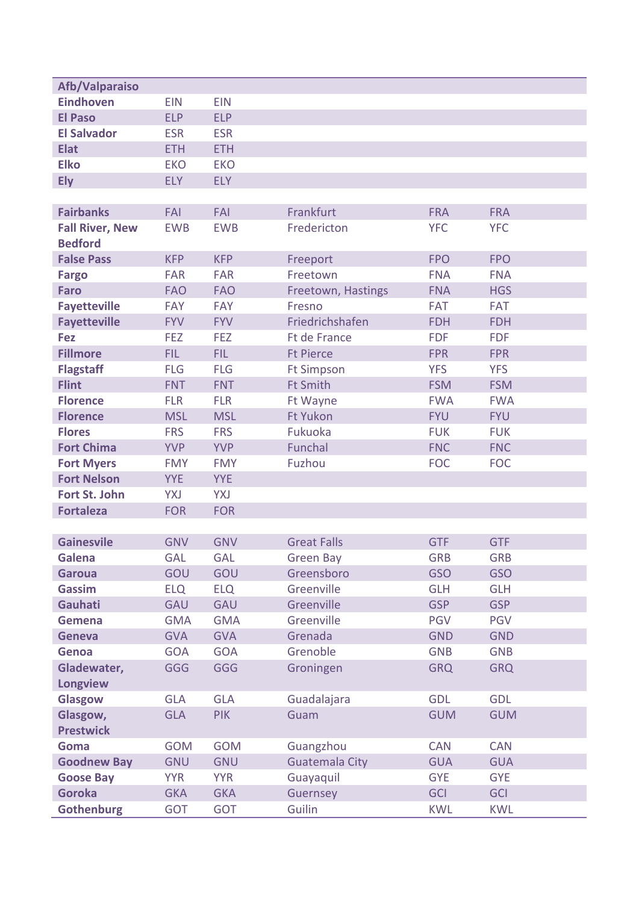| Afb/Valparaiso                 |                   |                   |                          |                          |                          |
|--------------------------------|-------------------|-------------------|--------------------------|--------------------------|--------------------------|
| <b>Eindhoven</b>               | <b>EIN</b>        | <b>EIN</b>        |                          |                          |                          |
| <b>El Paso</b>                 | <b>ELP</b>        | <b>ELP</b>        |                          |                          |                          |
| <b>El Salvador</b>             | <b>ESR</b>        | <b>ESR</b>        |                          |                          |                          |
| <b>Elat</b>                    | <b>ETH</b>        | <b>ETH</b>        |                          |                          |                          |
| <b>Elko</b>                    | <b>EKO</b>        | <b>EKO</b>        |                          |                          |                          |
| <b>Ely</b>                     | <b>ELY</b>        | <b>ELY</b>        |                          |                          |                          |
|                                |                   |                   |                          |                          |                          |
| <b>Fairbanks</b>               | FAI               | FAI               | Frankfurt                | <b>FRA</b>               | <b>FRA</b>               |
| <b>Fall River, New</b>         | <b>EWB</b>        | <b>EWB</b>        | Fredericton              | <b>YFC</b>               | <b>YFC</b>               |
| <b>Bedford</b>                 |                   |                   |                          |                          |                          |
| <b>False Pass</b>              | <b>KFP</b>        | <b>KFP</b>        | Freeport                 | <b>FPO</b>               | <b>FPO</b>               |
| <b>Fargo</b>                   | <b>FAR</b>        | <b>FAR</b>        | Freetown                 | <b>FNA</b>               | <b>FNA</b>               |
| <b>Faro</b>                    | <b>FAO</b>        | <b>FAO</b>        | Freetown, Hastings       | <b>FNA</b>               | <b>HGS</b>               |
| <b>Fayetteville</b>            | <b>FAY</b>        | <b>FAY</b>        | Fresno                   | <b>FAT</b>               | <b>FAT</b>               |
| <b>Fayetteville</b>            | <b>FYV</b>        | <b>FYV</b>        | Friedrichshafen          | <b>FDH</b>               | <b>FDH</b>               |
| <b>Fez</b>                     | <b>FEZ</b>        | <b>FEZ</b>        | <b>Ft de France</b>      | <b>FDF</b>               | <b>FDF</b>               |
| <b>Fillmore</b>                | FIL.              | <b>FIL</b>        | <b>Ft Pierce</b>         | <b>FPR</b>               | <b>FPR</b>               |
| <b>Flagstaff</b>               | <b>FLG</b>        | <b>FLG</b>        | <b>Ft Simpson</b>        | <b>YFS</b>               | <b>YFS</b>               |
| <b>Flint</b>                   | <b>FNT</b>        | <b>FNT</b>        | <b>Ft Smith</b>          | <b>FSM</b>               | <b>FSM</b>               |
| <b>Florence</b>                | <b>FLR</b>        | <b>FLR</b>        | Ft Wayne                 | <b>FWA</b>               | <b>FWA</b>               |
| <b>Florence</b>                | <b>MSL</b>        | <b>MSL</b>        | <b>Ft Yukon</b>          | <b>FYU</b>               | <b>FYU</b>               |
| <b>Flores</b>                  | <b>FRS</b>        | <b>FRS</b>        | Fukuoka                  | <b>FUK</b>               | <b>FUK</b>               |
| <b>Fort Chima</b>              | <b>YVP</b>        | <b>YVP</b>        | Funchal                  | <b>FNC</b>               | <b>FNC</b>               |
| <b>Fort Myers</b>              | <b>FMY</b>        | <b>FMY</b>        | Fuzhou                   | <b>FOC</b>               | <b>FOC</b>               |
| <b>Fort Nelson</b>             | <b>YYE</b>        | <b>YYE</b>        |                          |                          |                          |
| Fort St. John                  | YXJ               | YXJ               |                          |                          |                          |
| <b>Fortaleza</b>               | <b>FOR</b>        | <b>FOR</b>        |                          |                          |                          |
|                                |                   |                   |                          |                          |                          |
| <b>Gainesvile</b>              | <b>GNV</b>        | <b>GNV</b>        | <b>Great Falls</b>       | <b>GTF</b>               | <b>GTF</b>               |
| Galena                         | <b>GAL</b>        | <b>GAL</b>        | <b>Green Bay</b>         | <b>GRB</b>               | <b>GRB</b>               |
| <b>Garoua</b><br><b>Gassim</b> | GOU               | GOU<br><b>ELQ</b> | Greensboro<br>Greenville | <b>GSO</b><br><b>GLH</b> | <b>GSO</b><br><b>GLH</b> |
| Gauhati                        | <b>ELQ</b><br>GAU | GAU               | Greenville               | <b>GSP</b>               | <b>GSP</b>               |
| Gemena                         | <b>GMA</b>        | <b>GMA</b>        | Greenville               | <b>PGV</b>               | <b>PGV</b>               |
| <b>Geneva</b>                  | <b>GVA</b>        | <b>GVA</b>        | Grenada                  | <b>GND</b>               | <b>GND</b>               |
| Genoa                          | <b>GOA</b>        | <b>GOA</b>        | Grenoble                 | <b>GNB</b>               | <b>GNB</b>               |
| Gladewater,                    | <b>GGG</b>        | <b>GGG</b>        | Groningen                | <b>GRQ</b>               | <b>GRQ</b>               |
| <b>Longview</b>                |                   |                   |                          |                          |                          |
| Glasgow                        | <b>GLA</b>        | <b>GLA</b>        | Guadalajara              | <b>GDL</b>               | <b>GDL</b>               |
| Glasgow,                       | <b>GLA</b>        | <b>PIK</b>        | Guam                     | <b>GUM</b>               | <b>GUM</b>               |
| <b>Prestwick</b>               |                   |                   |                          |                          |                          |
| Goma                           | <b>GOM</b>        | <b>GOM</b>        | Guangzhou                | <b>CAN</b>               | <b>CAN</b>               |
| <b>Goodnew Bay</b>             | <b>GNU</b>        | <b>GNU</b>        | <b>Guatemala City</b>    | <b>GUA</b>               | <b>GUA</b>               |
| <b>Goose Bay</b>               | <b>YYR</b>        | <b>YYR</b>        | Guayaquil                | <b>GYE</b>               | <b>GYE</b>               |
| <b>Goroka</b>                  | <b>GKA</b>        | <b>GKA</b>        | Guernsey                 | <b>GCI</b>               | <b>GCI</b>               |
| <b>Gothenburg</b>              | <b>GOT</b>        | <b>GOT</b>        | Guilin                   | <b>KWL</b>               | <b>KWL</b>               |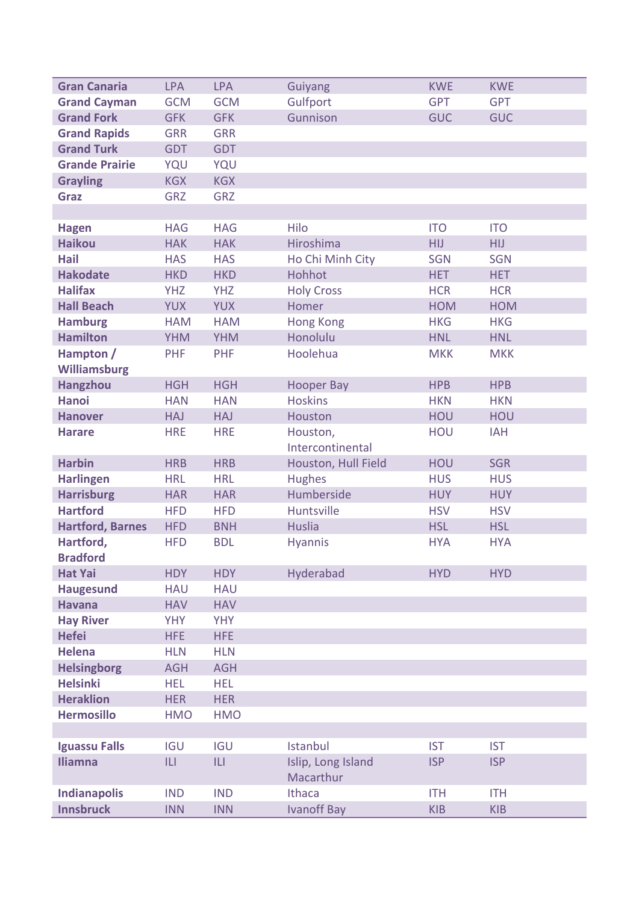| <b>Gran Canaria</b>                   | <b>LPA</b> | <b>LPA</b> | <b>Guiyang</b>      | <b>KWE</b> | <b>KWE</b> |
|---------------------------------------|------------|------------|---------------------|------------|------------|
| <b>Grand Cayman</b>                   | <b>GCM</b> | <b>GCM</b> | Gulfport            | <b>GPT</b> | <b>GPT</b> |
| <b>Grand Fork</b>                     | <b>GFK</b> | <b>GFK</b> | Gunnison            | <b>GUC</b> | <b>GUC</b> |
| <b>Grand Rapids</b>                   | <b>GRR</b> | <b>GRR</b> |                     |            |            |
| <b>Grand Turk</b>                     | <b>GDT</b> | <b>GDT</b> |                     |            |            |
| <b>Grande Prairie</b>                 | YQU        | YQU        |                     |            |            |
| <b>Grayling</b>                       | <b>KGX</b> | <b>KGX</b> |                     |            |            |
| <b>Graz</b>                           | <b>GRZ</b> | <b>GRZ</b> |                     |            |            |
|                                       |            |            |                     |            |            |
| <b>Hagen</b>                          | <b>HAG</b> | <b>HAG</b> | Hilo                | <b>ITO</b> | <b>ITO</b> |
| <b>Haikou</b>                         | <b>HAK</b> | <b>HAK</b> | Hiroshima           | <b>HIJ</b> | <b>HIJ</b> |
| <b>Hail</b>                           | <b>HAS</b> | <b>HAS</b> | Ho Chi Minh City    | <b>SGN</b> | <b>SGN</b> |
| <b>Hakodate</b>                       | <b>HKD</b> | <b>HKD</b> | Hohhot              | <b>HET</b> | <b>HET</b> |
| <b>Halifax</b>                        | <b>YHZ</b> | <b>YHZ</b> | <b>Holy Cross</b>   | <b>HCR</b> | <b>HCR</b> |
| <b>Hall Beach</b>                     | <b>YUX</b> | <b>YUX</b> | Homer               | <b>HOM</b> | <b>HOM</b> |
| <b>Hamburg</b>                        | <b>HAM</b> | <b>HAM</b> | <b>Hong Kong</b>    | <b>HKG</b> | <b>HKG</b> |
| <b>Hamilton</b>                       | <b>YHM</b> | <b>YHM</b> | Honolulu            | <b>HNL</b> | <b>HNL</b> |
| Hampton /                             | PHF        | PHF        | Hoolehua            | <b>MKK</b> | <b>MKK</b> |
| <b>Williamsburg</b>                   |            |            |                     |            |            |
| <b>Hangzhou</b>                       | <b>HGH</b> | <b>HGH</b> | <b>Hooper Bay</b>   | <b>HPB</b> | <b>HPB</b> |
| <b>Hanoi</b>                          | <b>HAN</b> | <b>HAN</b> | <b>Hoskins</b>      | <b>HKN</b> | <b>HKN</b> |
| <b>Hanover</b>                        | <b>HAJ</b> | <b>HAJ</b> | Houston             | HOU        | HOU        |
| <b>Harare</b>                         | <b>HRE</b> | <b>HRE</b> | Houston,            | HOU        | <b>IAH</b> |
|                                       |            |            | Intercontinental    |            |            |
| <b>Harbin</b>                         | <b>HRB</b> | <b>HRB</b> | Houston, Hull Field | HOU        | <b>SGR</b> |
| <b>Harlingen</b>                      | <b>HRL</b> | <b>HRL</b> | <b>Hughes</b>       | <b>HUS</b> | <b>HUS</b> |
| <b>Harrisburg</b>                     | <b>HAR</b> | <b>HAR</b> | Humberside          | <b>HUY</b> | <b>HUY</b> |
| <b>Hartford</b>                       | <b>HFD</b> | <b>HFD</b> | Huntsville          | <b>HSV</b> | <b>HSV</b> |
| <b>Hartford, Barnes</b>               | <b>HFD</b> | <b>BNH</b> | <b>Huslia</b>       | <b>HSL</b> | <b>HSL</b> |
| Hartford,                             | <b>HFD</b> | <b>BDL</b> | <b>Hyannis</b>      | <b>HYA</b> | <b>HYA</b> |
| <b>Bradford</b>                       |            |            |                     |            |            |
| <b>Hat Yai</b>                        | <b>HDY</b> | <b>HDY</b> | Hyderabad           | <b>HYD</b> | <b>HYD</b> |
| <b>Haugesund</b>                      | <b>HAU</b> | <b>HAU</b> |                     |            |            |
| <b>Havana</b>                         | <b>HAV</b> | <b>HAV</b> |                     |            |            |
| <b>Hay River</b>                      | <b>YHY</b> | <b>YHY</b> |                     |            |            |
| <b>Hefei</b>                          | <b>HFE</b> | <b>HFE</b> |                     |            |            |
| <b>Helena</b>                         | <b>HLN</b> | <b>HLN</b> |                     |            |            |
| <b>Helsingborg</b><br><b>Helsinki</b> | <b>AGH</b> | <b>AGH</b> |                     |            |            |
| <b>Heraklion</b>                      | <b>HEL</b> | <b>HEL</b> |                     |            |            |
|                                       | <b>HER</b> | <b>HER</b> |                     |            |            |
| <b>Hermosillo</b>                     | <b>HMO</b> | <b>HMO</b> |                     |            |            |
| <b>Iguassu Falls</b>                  | <b>IGU</b> | <b>IGU</b> | Istanbul            | <b>IST</b> | <b>IST</b> |
| <b>Iliamna</b>                        | ILI        | L          | Islip, Long Island  | <b>ISP</b> | <b>ISP</b> |
|                                       |            |            | Macarthur           |            |            |
| <b>Indianapolis</b>                   | <b>IND</b> | <b>IND</b> | Ithaca              | <b>ITH</b> | <b>ITH</b> |
| <b>Innsbruck</b>                      | <b>INN</b> | <b>INN</b> | <b>Ivanoff Bay</b>  | <b>KIB</b> | <b>KIB</b> |
|                                       |            |            |                     |            |            |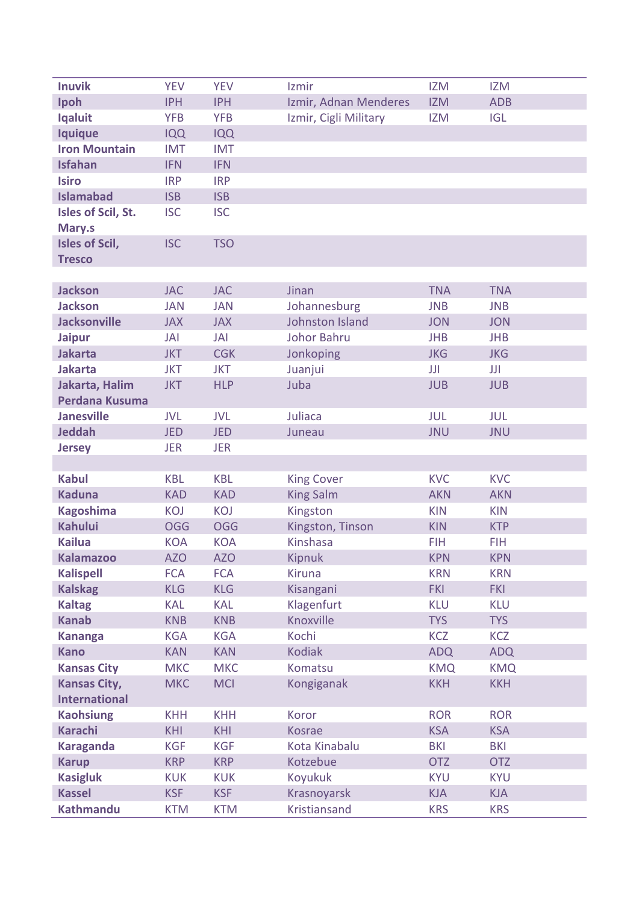| <b>Inuvik</b>         | <b>YEV</b> | <b>YEV</b> | Izmir                 | <b>IZM</b> | <b>IZM</b> |
|-----------------------|------------|------------|-----------------------|------------|------------|
| Ipoh                  | <b>IPH</b> | <b>IPH</b> | Izmir, Adnan Menderes | <b>IZM</b> | <b>ADB</b> |
| <b>Iqaluit</b>        | <b>YFB</b> | <b>YFB</b> | Izmir, Cigli Military | <b>IZM</b> | <b>IGL</b> |
| <b>Iquique</b>        | <b>IQQ</b> | <b>IQQ</b> |                       |            |            |
| <b>Iron Mountain</b>  | <b>IMT</b> | <b>IMT</b> |                       |            |            |
| <b>Isfahan</b>        | <b>IFN</b> | <b>IFN</b> |                       |            |            |
| <b>Isiro</b>          | <b>IRP</b> | <b>IRP</b> |                       |            |            |
| <b>Islamabad</b>      | <b>ISB</b> | <b>ISB</b> |                       |            |            |
| Isles of Scil, St.    | <b>ISC</b> | <b>ISC</b> |                       |            |            |
| Mary.s                |            |            |                       |            |            |
| <b>Isles of Scil,</b> | <b>ISC</b> | <b>TSO</b> |                       |            |            |
| <b>Tresco</b>         |            |            |                       |            |            |
|                       |            |            |                       |            |            |
| <b>Jackson</b>        | <b>JAC</b> | <b>JAC</b> | Jinan                 | <b>TNA</b> | <b>TNA</b> |
| <b>Jackson</b>        | <b>JAN</b> | <b>JAN</b> | Johannesburg          | <b>JNB</b> | <b>JNB</b> |
| <b>Jacksonville</b>   | <b>JAX</b> | <b>JAX</b> | Johnston Island       | <b>JON</b> | <b>JON</b> |
| <b>Jaipur</b>         | JAI        | <b>JAI</b> | <b>Johor Bahru</b>    | <b>JHB</b> | <b>JHB</b> |
| <b>Jakarta</b>        | <b>JKT</b> | <b>CGK</b> | Jonkoping             | <b>JKG</b> | <b>JKG</b> |
| <b>Jakarta</b>        | <b>JKT</b> | <b>JKT</b> | Juanjui               | JJI        | JJI        |
| Jakarta, Halim        | <b>JKT</b> | <b>HLP</b> | Juba                  | <b>JUB</b> | <b>JUB</b> |
| Perdana Kusuma        |            |            |                       |            |            |
| <b>Janesville</b>     | <b>JVL</b> | <b>JVL</b> | Juliaca               | JUL        | JUL        |
| <b>Jeddah</b>         | <b>JED</b> | <b>JED</b> | Juneau                | <b>JNU</b> | <b>JNU</b> |
| <b>Jersey</b>         | <b>JER</b> | <b>JER</b> |                       |            |            |
|                       |            |            |                       |            |            |
| <b>Kabul</b>          | <b>KBL</b> | <b>KBL</b> | <b>King Cover</b>     | <b>KVC</b> | <b>KVC</b> |
| <b>Kaduna</b>         | <b>KAD</b> | <b>KAD</b> | <b>King Salm</b>      | <b>AKN</b> | <b>AKN</b> |
| <b>Kagoshima</b>      | KOJ        | KOJ        | Kingston              | <b>KIN</b> | <b>KIN</b> |
| <b>Kahului</b>        | <b>OGG</b> | <b>OGG</b> | Kingston, Tinson      | <b>KIN</b> | <b>KTP</b> |
| <b>Kailua</b>         | <b>KOA</b> | <b>KOA</b> | Kinshasa              | <b>FIH</b> | <b>FIH</b> |
| <b>Kalamazoo</b>      | <b>AZO</b> | <b>AZO</b> | <b>Kipnuk</b>         | <b>KPN</b> | <b>KPN</b> |
| <b>Kalispell</b>      | <b>FCA</b> | <b>FCA</b> | <b>Kiruna</b>         | <b>KRN</b> | <b>KRN</b> |
| <b>Kalskag</b>        | <b>KLG</b> | <b>KLG</b> | Kisangani             | <b>FKI</b> | <b>FKI</b> |
| <b>Kaltag</b>         | <b>KAL</b> | <b>KAL</b> | Klagenfurt            | <b>KLU</b> | <b>KLU</b> |
| <b>Kanab</b>          | <b>KNB</b> | <b>KNB</b> | Knoxville             | <b>TYS</b> | <b>TYS</b> |
| <b>Kananga</b>        | <b>KGA</b> | <b>KGA</b> | Kochi                 | <b>KCZ</b> | <b>KCZ</b> |
| <b>Kano</b>           | <b>KAN</b> | <b>KAN</b> | <b>Kodiak</b>         | <b>ADQ</b> | <b>ADQ</b> |
| <b>Kansas City</b>    | <b>MKC</b> | <b>MKC</b> | Komatsu               | <b>KMQ</b> | <b>KMQ</b> |
| <b>Kansas City,</b>   | <b>MKC</b> | <b>MCI</b> | Kongiganak            | <b>KKH</b> | <b>KKH</b> |
| <b>International</b>  |            |            |                       |            |            |
| <b>Kaohsiung</b>      | <b>KHH</b> | <b>KHH</b> | Koror                 | <b>ROR</b> | <b>ROR</b> |
| <b>Karachi</b>        | <b>KHI</b> | <b>KHI</b> | <b>Kosrae</b>         | <b>KSA</b> | <b>KSA</b> |
| <b>Karaganda</b>      | <b>KGF</b> | <b>KGF</b> | Kota Kinabalu         | <b>BKI</b> | <b>BKI</b> |
| <b>Karup</b>          | <b>KRP</b> | <b>KRP</b> | Kotzebue              | <b>OTZ</b> | <b>OTZ</b> |
| <b>Kasigluk</b>       | <b>KUK</b> | <b>KUK</b> | Koyukuk               | <b>KYU</b> | <b>KYU</b> |
| <b>Kassel</b>         | <b>KSF</b> | <b>KSF</b> | Krasnoyarsk           | <b>KJA</b> | <b>KJA</b> |
| <b>Kathmandu</b>      | <b>KTM</b> | <b>KTM</b> | Kristiansand          | <b>KRS</b> | <b>KRS</b> |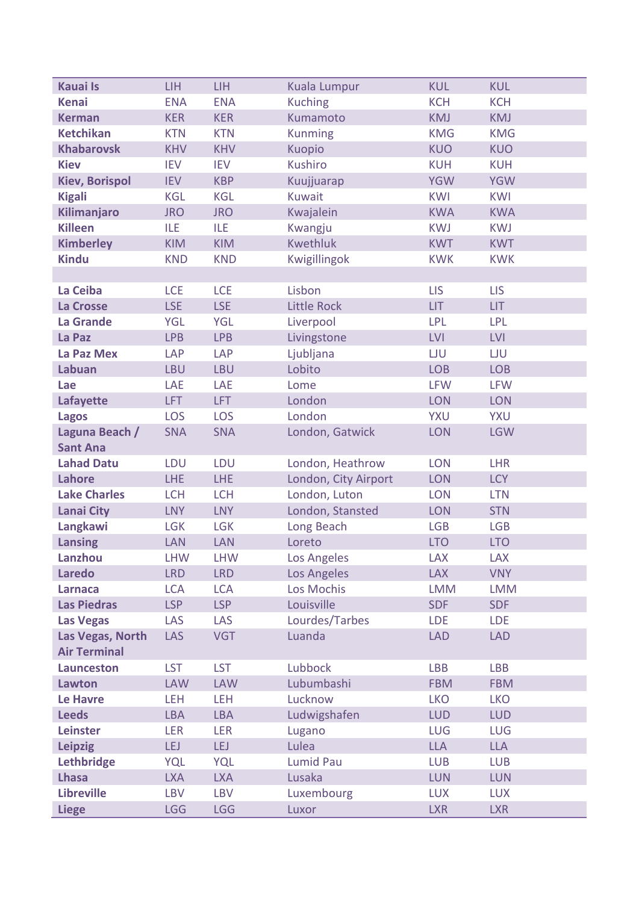| <b>Kauai Is</b>       | <b>LIH</b> | <b>LIH</b> | Kuala Lumpur         | <b>KUL</b> | <b>KUL</b> |
|-----------------------|------------|------------|----------------------|------------|------------|
| <b>Kenai</b>          | <b>ENA</b> | <b>ENA</b> | <b>Kuching</b>       | <b>KCH</b> | <b>KCH</b> |
| <b>Kerman</b>         | <b>KER</b> | <b>KER</b> | Kumamoto             | <b>KMJ</b> | <b>KMJ</b> |
| <b>Ketchikan</b>      | <b>KTN</b> | <b>KTN</b> | <b>Kunming</b>       | <b>KMG</b> | <b>KMG</b> |
| <b>Khabarovsk</b>     | <b>KHV</b> | <b>KHV</b> | Kuopio               | <b>KUO</b> | <b>KUO</b> |
| <b>Kiev</b>           | <b>IEV</b> | <b>IEV</b> | Kushiro              | <b>KUH</b> | <b>KUH</b> |
| <b>Kiev, Borispol</b> | <b>IEV</b> | <b>KBP</b> | Kuujjuarap           | <b>YGW</b> | <b>YGW</b> |
| <b>Kigali</b>         | <b>KGL</b> | <b>KGL</b> | <b>Kuwait</b>        | <b>KWI</b> | <b>KWI</b> |
| Kilimanjaro           | <b>JRO</b> | <b>JRO</b> | Kwajalein            | <b>KWA</b> | <b>KWA</b> |
| <b>Killeen</b>        | <b>ILE</b> | <b>ILE</b> | Kwangju              | <b>KWJ</b> | <b>KWJ</b> |
| <b>Kimberley</b>      | <b>KIM</b> | <b>KIM</b> | <b>Kwethluk</b>      | <b>KWT</b> | <b>KWT</b> |
| <b>Kindu</b>          | <b>KND</b> | <b>KND</b> | Kwigillingok         | <b>KWK</b> | <b>KWK</b> |
|                       |            |            |                      |            |            |
| La Ceiba              | <b>LCE</b> | <b>LCE</b> | Lisbon               | <b>LIS</b> | <b>LIS</b> |
| La Crosse             | <b>LSE</b> | <b>LSE</b> | <b>Little Rock</b>   | <b>LIT</b> | <b>LIT</b> |
| La Grande             | <b>YGL</b> | <b>YGL</b> | Liverpool            | <b>LPL</b> | <b>LPL</b> |
| La Paz                | <b>LPB</b> | <b>LPB</b> | Livingstone          | <b>LVI</b> | <b>LVI</b> |
| La Paz Mex            | <b>LAP</b> | LAP        | Ljubljana            | LJU        | <b>LJU</b> |
| Labuan                | <b>LBU</b> | <b>LBU</b> | Lobito               | <b>LOB</b> | <b>LOB</b> |
| Lae                   | LAE        | LAE        | Lome                 | <b>LFW</b> | <b>LFW</b> |
| Lafayette             | LFT        | LFT.       | London               | <b>LON</b> | <b>LON</b> |
| <b>Lagos</b>          | <b>LOS</b> | <b>LOS</b> | London               | YXU        | YXU        |
| Laguna Beach /        | <b>SNA</b> | <b>SNA</b> | London, Gatwick      | <b>LON</b> | <b>LGW</b> |
| <b>Sant Ana</b>       |            |            |                      |            |            |
| <b>Lahad Datu</b>     | LDU        | LDU        | London, Heathrow     | <b>LON</b> | <b>LHR</b> |
| <b>Lahore</b>         | <b>LHE</b> | LHE        | London, City Airport | <b>LON</b> | <b>LCY</b> |
| <b>Lake Charles</b>   | <b>LCH</b> | <b>LCH</b> | London, Luton        | <b>LON</b> | <b>LTN</b> |
| <b>Lanai City</b>     | <b>LNY</b> | <b>LNY</b> | London, Stansted     | <b>LON</b> | <b>STN</b> |
| Langkawi              | <b>LGK</b> | <b>LGK</b> | Long Beach           | <b>LGB</b> | <b>LGB</b> |
| <b>Lansing</b>        | LAN        | LAN        | Loreto               | <b>LTO</b> | <b>LTO</b> |
| Lanzhou               | <b>LHW</b> | <b>LHW</b> | Los Angeles          | <b>LAX</b> | <b>LAX</b> |
| <b>Laredo</b>         | <b>LRD</b> | <b>LRD</b> | Los Angeles          | <b>LAX</b> | <b>VNY</b> |
| <b>Larnaca</b>        | <b>LCA</b> | <b>LCA</b> | Los Mochis           | <b>LMM</b> | <b>LMM</b> |
| <b>Las Piedras</b>    | LSP        | <b>LSP</b> | Louisville           | <b>SDF</b> | <b>SDF</b> |
| <b>Las Vegas</b>      | LAS        | LAS        | Lourdes/Tarbes       | <b>LDE</b> | <b>LDE</b> |
| Las Vegas, North      | <b>LAS</b> | <b>VGT</b> | Luanda               | <b>LAD</b> | <b>LAD</b> |
| <b>Air Terminal</b>   |            |            |                      |            |            |
| <b>Launceston</b>     | <b>LST</b> | <b>LST</b> | Lubbock              | <b>LBB</b> | <b>LBB</b> |
| Lawton                | <b>LAW</b> | <b>LAW</b> | Lubumbashi           | <b>FBM</b> | <b>FBM</b> |
| <b>Le Havre</b>       | LEH        | LEH        | Lucknow              | <b>LKO</b> | <b>LKO</b> |
| <b>Leeds</b>          | <b>LBA</b> | <b>LBA</b> | Ludwigshafen         | <b>LUD</b> | <b>LUD</b> |
| <b>Leinster</b>       | <b>LER</b> | <b>LER</b> | Lugano               | LUG        | <b>LUG</b> |
| <b>Leipzig</b>        | <b>LEJ</b> | LEJ        | Lulea                | <b>LLA</b> | <b>LLA</b> |
| Lethbridge            | <b>YQL</b> | <b>YQL</b> | <b>Lumid Pau</b>     | <b>LUB</b> | <b>LUB</b> |
| <b>Lhasa</b>          | <b>LXA</b> | <b>LXA</b> | Lusaka               | <b>LUN</b> | <b>LUN</b> |
| <b>Libreville</b>     | <b>LBV</b> | <b>LBV</b> | Luxembourg           | <b>LUX</b> | <b>LUX</b> |
| <b>Liege</b>          | <b>LGG</b> | <b>LGG</b> | Luxor                | <b>LXR</b> | <b>LXR</b> |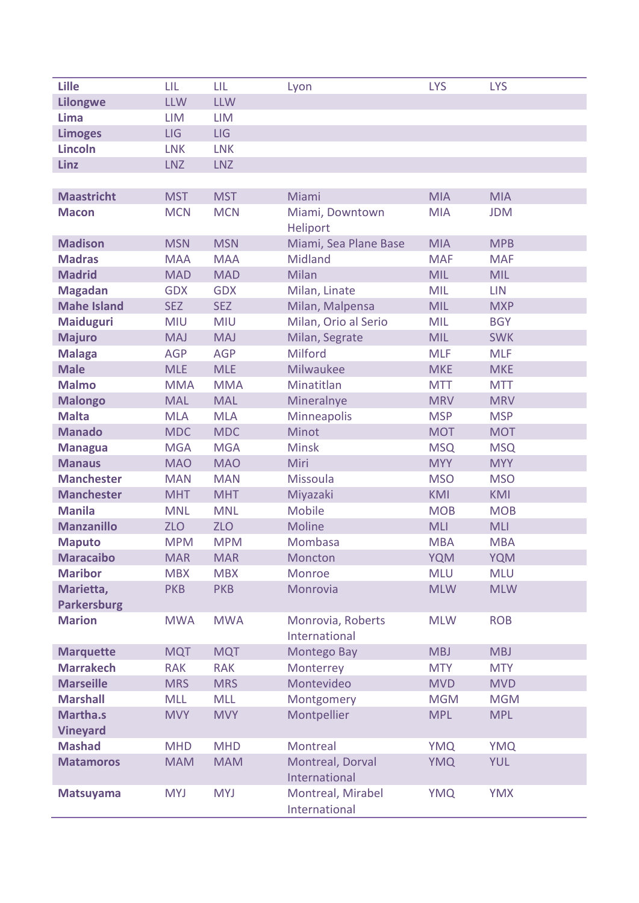| <b>Lille</b>                   | LIL        | LIL        | Lyon                  | <b>LYS</b> | <b>LYS</b> |
|--------------------------------|------------|------------|-----------------------|------------|------------|
| <b>Lilongwe</b>                | <b>LLW</b> | <b>LLW</b> |                       |            |            |
| Lima                           | <b>LIM</b> | <b>LIM</b> |                       |            |            |
| <b>Limoges</b>                 | <b>LIG</b> | LIG        |                       |            |            |
| <b>Lincoln</b>                 | <b>LNK</b> | <b>LNK</b> |                       |            |            |
| <b>Linz</b>                    | <b>LNZ</b> | <b>LNZ</b> |                       |            |            |
|                                |            |            |                       |            |            |
| <b>Maastricht</b>              | <b>MST</b> | <b>MST</b> | Miami                 | <b>MIA</b> | <b>MIA</b> |
| <b>Macon</b>                   | <b>MCN</b> | <b>MCN</b> | Miami, Downtown       | <b>MIA</b> | <b>JDM</b> |
|                                |            |            | Heliport              |            |            |
| <b>Madison</b>                 | <b>MSN</b> | <b>MSN</b> | Miami, Sea Plane Base | <b>MIA</b> | <b>MPB</b> |
| <b>Madras</b>                  | <b>MAA</b> | <b>MAA</b> | Midland               | <b>MAF</b> | <b>MAF</b> |
| <b>Madrid</b>                  | <b>MAD</b> | <b>MAD</b> | Milan                 | <b>MIL</b> | <b>MIL</b> |
| <b>Magadan</b>                 | <b>GDX</b> | <b>GDX</b> | Milan, Linate         | <b>MIL</b> | <b>LIN</b> |
| <b>Mahe Island</b>             | <b>SEZ</b> | <b>SEZ</b> | Milan, Malpensa       | <b>MIL</b> | <b>MXP</b> |
| <b>Maiduguri</b>               | <b>MIU</b> | <b>MIU</b> | Milan, Orio al Serio  | <b>MIL</b> | <b>BGY</b> |
| <b>Majuro</b>                  | <b>MAJ</b> | <b>MAJ</b> | Milan, Segrate        | <b>MIL</b> | <b>SWK</b> |
| <b>Malaga</b>                  | <b>AGP</b> | <b>AGP</b> | Milford               | <b>MLF</b> | <b>MLF</b> |
| <b>Male</b>                    | <b>MLE</b> | <b>MLE</b> | <b>Milwaukee</b>      | <b>MKE</b> | <b>MKE</b> |
| <b>Malmo</b>                   | <b>MMA</b> | <b>MMA</b> | Minatitlan            | <b>MTT</b> | <b>MTT</b> |
|                                |            | <b>MAL</b> |                       | <b>MRV</b> | <b>MRV</b> |
| <b>Malongo</b><br><b>Malta</b> | <b>MAL</b> |            | Mineralnye            |            | <b>MSP</b> |
|                                | <b>MLA</b> | <b>MLA</b> | Minneapolis<br>Minot  | <b>MSP</b> |            |
| <b>Manado</b>                  | <b>MDC</b> | <b>MDC</b> |                       | <b>MOT</b> | <b>MOT</b> |
| <b>Managua</b>                 | <b>MGA</b> | <b>MGA</b> | <b>Minsk</b>          | <b>MSQ</b> | <b>MSQ</b> |
| <b>Manaus</b>                  | <b>MAO</b> | <b>MAO</b> | Miri                  | <b>MYY</b> | <b>MYY</b> |
| <b>Manchester</b>              | <b>MAN</b> | <b>MAN</b> | Missoula              | <b>MSO</b> | <b>MSO</b> |
| <b>Manchester</b>              | <b>MHT</b> | <b>MHT</b> | Miyazaki              | <b>KMI</b> | KMI        |
| <b>Manila</b>                  | <b>MNL</b> | <b>MNL</b> | <b>Mobile</b>         | <b>MOB</b> | <b>MOB</b> |
| <b>Manzanillo</b>              | <b>ZLO</b> | <b>ZLO</b> | <b>Moline</b>         | <b>MLI</b> | <b>MLI</b> |
| <b>Maputo</b>                  | <b>MPM</b> | <b>MPM</b> | Mombasa               | <b>MBA</b> | <b>MBA</b> |
| <b>Maracaibo</b>               | <b>MAR</b> | <b>MAR</b> | Moncton               | YQM        | <b>YQM</b> |
| <b>Maribor</b>                 | <b>MBX</b> | <b>MBX</b> | Monroe                | <b>MLU</b> | <b>MLU</b> |
| Marietta,                      | <b>PKB</b> | <b>PKB</b> | Monrovia              | <b>MLW</b> | <b>MLW</b> |
| <b>Parkersburg</b>             |            |            |                       |            |            |
| <b>Marion</b>                  | <b>MWA</b> | <b>MWA</b> | Monrovia, Roberts     | <b>MLW</b> | <b>ROB</b> |
|                                |            |            | International         |            |            |
| <b>Marquette</b>               | <b>MQT</b> | <b>MQT</b> | Montego Bay           | <b>MBJ</b> | <b>MBJ</b> |
| <b>Marrakech</b>               | <b>RAK</b> | <b>RAK</b> | Monterrey             | <b>MTY</b> | <b>MTY</b> |
| <b>Marseille</b>               | <b>MRS</b> | <b>MRS</b> | Montevideo            | <b>MVD</b> | <b>MVD</b> |
| <b>Marshall</b>                | <b>MLL</b> | <b>MLL</b> | Montgomery            | <b>MGM</b> | <b>MGM</b> |
| <b>Martha.s</b>                | <b>MVY</b> | <b>MVY</b> | Montpellier           | <b>MPL</b> | <b>MPL</b> |
| <b>Vineyard</b>                |            |            |                       |            |            |
| <b>Mashad</b>                  | <b>MHD</b> | <b>MHD</b> | Montreal              | <b>YMQ</b> | <b>YMQ</b> |
| <b>Matamoros</b>               | <b>MAM</b> | <b>MAM</b> | Montreal, Dorval      | <b>YMQ</b> | <b>YUL</b> |
|                                |            |            | International         |            |            |
| <b>Matsuyama</b>               | <b>MYJ</b> | <b>MYJ</b> | Montreal, Mirabel     | <b>YMQ</b> | <b>YMX</b> |
|                                |            |            | International         |            |            |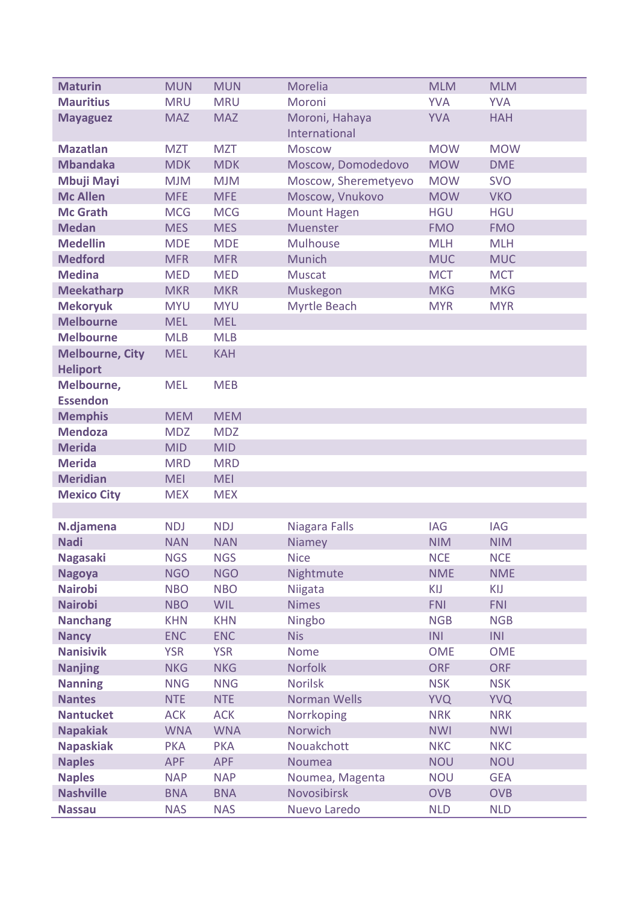| <b>Maturin</b>                            | <b>MUN</b> | <b>MUN</b> | Morelia                         | <b>MLM</b> | <b>MLM</b> |
|-------------------------------------------|------------|------------|---------------------------------|------------|------------|
| <b>Mauritius</b>                          | <b>MRU</b> | <b>MRU</b> | Moroni                          | <b>YVA</b> | <b>YVA</b> |
| <b>Mayaguez</b>                           | <b>MAZ</b> | <b>MAZ</b> | Moroni, Hahaya<br>International | <b>YVA</b> | <b>HAH</b> |
| <b>Mazatlan</b>                           | <b>MZT</b> | <b>MZT</b> | <b>Moscow</b>                   | <b>MOW</b> | <b>MOW</b> |
| <b>Mbandaka</b>                           | <b>MDK</b> | <b>MDK</b> | Moscow, Domodedovo              | <b>MOW</b> | <b>DME</b> |
| <b>Mbuji Mayi</b>                         | <b>MJM</b> | <b>MJM</b> | Moscow, Sheremetyevo            | <b>MOW</b> | <b>SVO</b> |
| <b>Mc Allen</b>                           | <b>MFE</b> | <b>MFE</b> | Moscow, Vnukovo                 | <b>MOW</b> | <b>VKO</b> |
| <b>Mc Grath</b>                           | <b>MCG</b> | <b>MCG</b> | <b>Mount Hagen</b>              | <b>HGU</b> | <b>HGU</b> |
| <b>Medan</b>                              | <b>MES</b> | <b>MES</b> | Muenster                        | <b>FMO</b> | <b>FMO</b> |
| <b>Medellin</b>                           | <b>MDE</b> | <b>MDE</b> | <b>Mulhouse</b>                 | <b>MLH</b> | <b>MLH</b> |
| <b>Medford</b>                            | <b>MFR</b> | <b>MFR</b> | Munich                          | <b>MUC</b> | <b>MUC</b> |
| <b>Medina</b>                             | <b>MED</b> | <b>MED</b> | <b>Muscat</b>                   | <b>MCT</b> | <b>MCT</b> |
| <b>Meekatharp</b>                         | <b>MKR</b> | <b>MKR</b> | Muskegon                        | <b>MKG</b> | <b>MKG</b> |
| <b>Mekoryuk</b>                           | <b>MYU</b> | <b>MYU</b> | Myrtle Beach                    | <b>MYR</b> | <b>MYR</b> |
| <b>Melbourne</b>                          | <b>MEL</b> | <b>MEL</b> |                                 |            |            |
| <b>Melbourne</b>                          | <b>MLB</b> | <b>MLB</b> |                                 |            |            |
| <b>Melbourne, City</b><br><b>Heliport</b> | <b>MEL</b> | <b>KAH</b> |                                 |            |            |
| Melbourne,<br><b>Essendon</b>             | <b>MEL</b> | <b>MEB</b> |                                 |            |            |
| <b>Memphis</b>                            | <b>MEM</b> | <b>MEM</b> |                                 |            |            |
| <b>Mendoza</b>                            | <b>MDZ</b> | <b>MDZ</b> |                                 |            |            |
| <b>Merida</b>                             | <b>MID</b> | <b>MID</b> |                                 |            |            |
| <b>Merida</b>                             | <b>MRD</b> | <b>MRD</b> |                                 |            |            |
| <b>Meridian</b>                           | <b>MEI</b> | <b>MEI</b> |                                 |            |            |
| <b>Mexico City</b>                        | <b>MEX</b> | <b>MEX</b> |                                 |            |            |
|                                           |            |            |                                 |            |            |
| N.djamena                                 | <b>NDJ</b> | <b>NDJ</b> | Niagara Falls                   | <b>IAG</b> | <b>IAG</b> |
| <b>Nadi</b>                               | <b>NAN</b> | <b>NAN</b> | Niamey                          | <b>NIM</b> | <b>NIM</b> |
| <b>Nagasaki</b>                           | <b>NGS</b> | <b>NGS</b> | <b>Nice</b>                     | <b>NCE</b> | <b>NCE</b> |
| <b>Nagoya</b>                             | <b>NGO</b> | <b>NGO</b> | Nightmute                       | <b>NME</b> | <b>NME</b> |
| <b>Nairobi</b>                            | <b>NBO</b> | <b>NBO</b> | Niigata                         | KIJ        | KIJ        |
| <b>Nairobi</b>                            | <b>NBO</b> | <b>WIL</b> | <b>Nimes</b>                    | <b>FNI</b> | <b>FNI</b> |
| <b>Nanchang</b>                           | <b>KHN</b> | <b>KHN</b> | Ningbo                          | <b>NGB</b> | <b>NGB</b> |
| <b>Nancy</b>                              | <b>ENC</b> | <b>ENC</b> | <b>Nis</b>                      | INI        | INI        |
| <b>Nanisivik</b>                          | <b>YSR</b> | <b>YSR</b> | <b>Nome</b>                     | <b>OME</b> | <b>OME</b> |
| <b>Nanjing</b>                            | <b>NKG</b> | <b>NKG</b> | <b>Norfolk</b>                  | <b>ORF</b> | <b>ORF</b> |
| <b>Nanning</b>                            | <b>NNG</b> | <b>NNG</b> | <b>Norilsk</b>                  | <b>NSK</b> | <b>NSK</b> |
| <b>Nantes</b>                             | <b>NTE</b> | <b>NTE</b> | <b>Norman Wells</b>             | <b>YVQ</b> | <b>YVQ</b> |
| <b>Nantucket</b>                          | <b>ACK</b> | <b>ACK</b> | Norrkoping                      | <b>NRK</b> | <b>NRK</b> |
| <b>Napakiak</b>                           | <b>WNA</b> | <b>WNA</b> | Norwich                         | <b>NWI</b> | <b>NWI</b> |
| <b>Napaskiak</b>                          | <b>PKA</b> | <b>PKA</b> | Nouakchott                      | <b>NKC</b> | <b>NKC</b> |
| <b>Naples</b>                             | <b>APF</b> | <b>APF</b> | Noumea                          | <b>NOU</b> | <b>NOU</b> |
| <b>Naples</b>                             | <b>NAP</b> | <b>NAP</b> | Noumea, Magenta                 | <b>NOU</b> | <b>GEA</b> |
| <b>Nashville</b>                          | <b>BNA</b> | <b>BNA</b> | Novosibirsk                     | <b>OVB</b> | <b>OVB</b> |
| <b>Nassau</b>                             | <b>NAS</b> | <b>NAS</b> | Nuevo Laredo                    | <b>NLD</b> | <b>NLD</b> |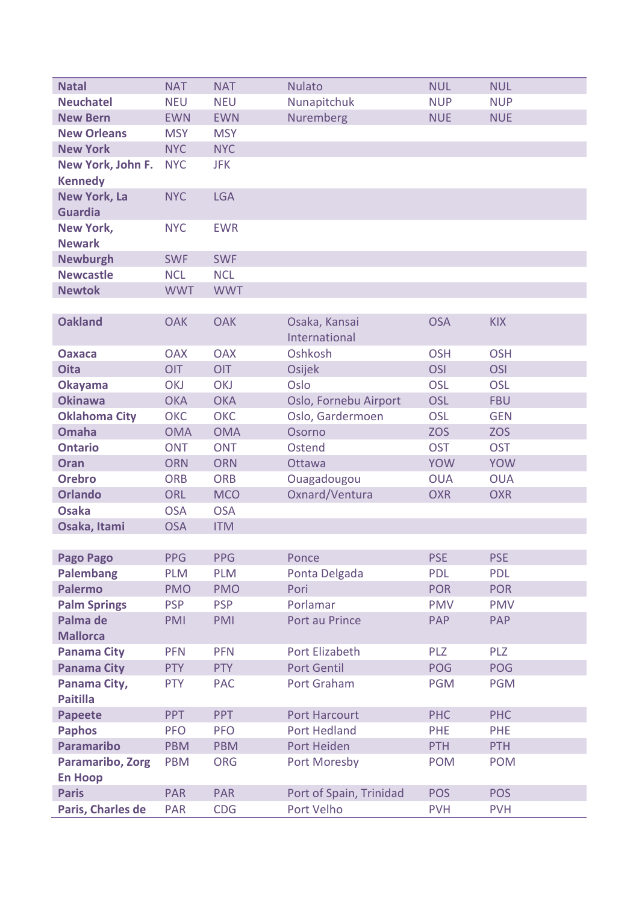| <b>Natal</b>                          | <b>NAT</b> | <b>NAT</b> | <b>Nulato</b>           | <b>NUL</b> | <b>NUL</b> |
|---------------------------------------|------------|------------|-------------------------|------------|------------|
| <b>Neuchatel</b>                      | <b>NEU</b> | <b>NEU</b> | Nunapitchuk             | <b>NUP</b> | <b>NUP</b> |
| <b>New Bern</b>                       | <b>EWN</b> | <b>EWN</b> | <b>Nuremberg</b>        | <b>NUE</b> | <b>NUE</b> |
| <b>New Orleans</b>                    | <b>MSY</b> | <b>MSY</b> |                         |            |            |
| <b>New York</b>                       | <b>NYC</b> | <b>NYC</b> |                         |            |            |
| New York, John F.                     | <b>NYC</b> | <b>JFK</b> |                         |            |            |
| <b>Kennedy</b>                        |            |            |                         |            |            |
| <b>New York, La</b><br><b>Guardia</b> | <b>NYC</b> | <b>LGA</b> |                         |            |            |
| <b>New York,</b><br><b>Newark</b>     | <b>NYC</b> | <b>EWR</b> |                         |            |            |
| <b>Newburgh</b>                       | <b>SWF</b> | <b>SWF</b> |                         |            |            |
| <b>Newcastle</b>                      | <b>NCL</b> | <b>NCL</b> |                         |            |            |
| <b>Newtok</b>                         | <b>WWT</b> | <b>WWT</b> |                         |            |            |
|                                       |            |            |                         |            |            |
| <b>Oakland</b>                        | <b>OAK</b> | <b>OAK</b> | Osaka, Kansai           | <b>OSA</b> | <b>KIX</b> |
|                                       |            |            | International           |            |            |
| <b>Oaxaca</b>                         | <b>OAX</b> | <b>OAX</b> | Oshkosh                 | <b>OSH</b> | <b>OSH</b> |
| <b>Oita</b>                           | OIT        | <b>OIT</b> | Osijek                  | <b>OSI</b> | <b>OSI</b> |
| <b>Okayama</b>                        | <b>OKJ</b> | <b>OKJ</b> | Oslo                    | <b>OSL</b> | <b>OSL</b> |
| <b>Okinawa</b>                        | <b>OKA</b> | <b>OKA</b> | Oslo, Fornebu Airport   | <b>OSL</b> | <b>FBU</b> |
| <b>Oklahoma City</b>                  | <b>OKC</b> | <b>OKC</b> | Oslo, Gardermoen        | <b>OSL</b> | <b>GEN</b> |
| <b>Omaha</b>                          | <b>OMA</b> | <b>OMA</b> | Osorno                  | <b>ZOS</b> | <b>ZOS</b> |
| <b>Ontario</b>                        | <b>ONT</b> | <b>ONT</b> | Ostend                  | <b>OST</b> | <b>OST</b> |
| <b>Oran</b>                           | <b>ORN</b> | <b>ORN</b> | Ottawa                  | <b>YOW</b> | <b>YOW</b> |
| <b>Orebro</b>                         | <b>ORB</b> | <b>ORB</b> | Ouagadougou             | <b>OUA</b> | <b>OUA</b> |
| <b>Orlando</b>                        | ORL        | <b>MCO</b> | Oxnard/Ventura          | <b>OXR</b> | <b>OXR</b> |
| <b>Osaka</b>                          | <b>OSA</b> | <b>OSA</b> |                         |            |            |
| Osaka, Itami                          | <b>OSA</b> | <b>ITM</b> |                         |            |            |
|                                       |            |            |                         |            |            |
| <b>Pago Pago</b>                      | <b>PPG</b> | <b>PPG</b> | Ponce                   | <b>PSE</b> | <b>PSE</b> |
| <b>Palembang</b>                      | <b>PLM</b> | <b>PLM</b> | Ponta Delgada           | <b>PDL</b> | <b>PDL</b> |
| <b>Palermo</b>                        | <b>PMO</b> | <b>PMO</b> | Pori                    | <b>POR</b> | <b>POR</b> |
| <b>Palm Springs</b>                   | <b>PSP</b> | <b>PSP</b> | Porlamar                | <b>PMV</b> | <b>PMV</b> |
| Palma de                              | PMI        | <b>PMI</b> | Port au Prince          | <b>PAP</b> | PAP        |
| <b>Mallorca</b>                       |            |            |                         |            |            |
| <b>Panama City</b>                    | <b>PFN</b> | <b>PFN</b> | Port Elizabeth          | <b>PLZ</b> | <b>PLZ</b> |
| <b>Panama City</b>                    | <b>PTY</b> | <b>PTY</b> | <b>Port Gentil</b>      | <b>POG</b> | <b>POG</b> |
| Panama City,                          | <b>PTY</b> | <b>PAC</b> | Port Graham             | <b>PGM</b> | <b>PGM</b> |
| <b>Paitilla</b>                       |            |            |                         |            |            |
| <b>Papeete</b>                        | <b>PPT</b> | <b>PPT</b> | <b>Port Harcourt</b>    | <b>PHC</b> | <b>PHC</b> |
| <b>Paphos</b>                         | <b>PFO</b> | <b>PFO</b> | <b>Port Hedland</b>     | <b>PHE</b> | <b>PHE</b> |
| <b>Paramaribo</b>                     | <b>PBM</b> | <b>PBM</b> | Port Heiden             | <b>PTH</b> | <b>PTH</b> |
| Paramaribo, Zorg                      | <b>PBM</b> | <b>ORG</b> | Port Moresby            | <b>POM</b> | <b>POM</b> |
| <b>En Hoop</b>                        |            |            |                         |            |            |
| <b>Paris</b>                          | <b>PAR</b> | <b>PAR</b> | Port of Spain, Trinidad | <b>POS</b> | <b>POS</b> |
| Paris, Charles de                     | <b>PAR</b> | <b>CDG</b> | Port Velho              | <b>PVH</b> | <b>PVH</b> |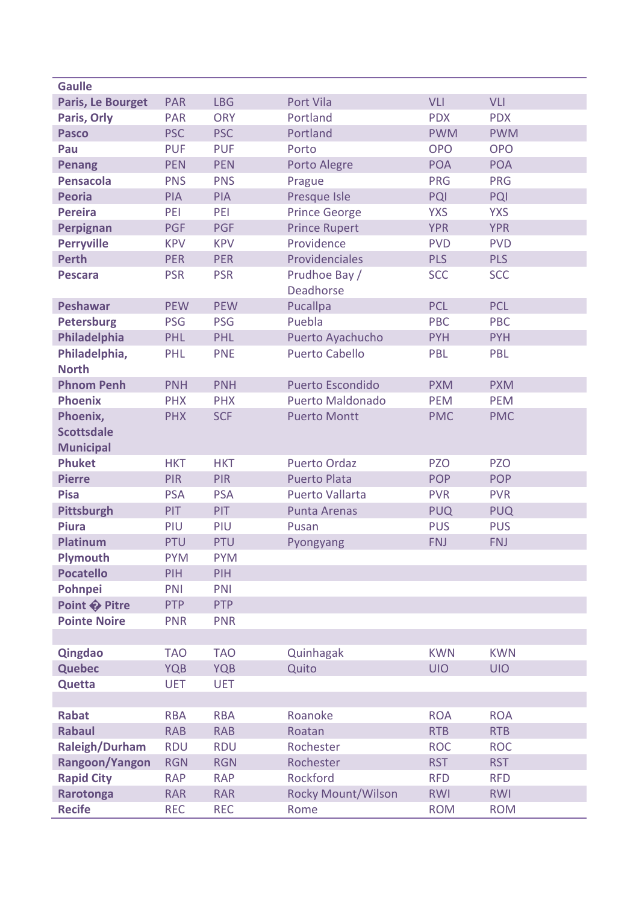| <b>PAR</b>               | <b>LBG</b>                                                                                                                 | Port Vila                                                                                                           | VLI                                                                                                               | <b>VLI</b>                                                                       |
|--------------------------|----------------------------------------------------------------------------------------------------------------------------|---------------------------------------------------------------------------------------------------------------------|-------------------------------------------------------------------------------------------------------------------|----------------------------------------------------------------------------------|
| <b>PAR</b>               | <b>ORY</b>                                                                                                                 | Portland                                                                                                            | <b>PDX</b>                                                                                                        | <b>PDX</b>                                                                       |
| <b>PSC</b>               | <b>PSC</b>                                                                                                                 | Portland                                                                                                            | <b>PWM</b>                                                                                                        | <b>PWM</b>                                                                       |
| <b>PUF</b>               | <b>PUF</b>                                                                                                                 | Porto                                                                                                               | <b>OPO</b>                                                                                                        | <b>OPO</b>                                                                       |
| <b>PEN</b>               | <b>PEN</b>                                                                                                                 | Porto Alegre                                                                                                        | <b>POA</b>                                                                                                        | <b>POA</b>                                                                       |
| <b>PNS</b>               | <b>PNS</b>                                                                                                                 | Prague                                                                                                              | <b>PRG</b>                                                                                                        | <b>PRG</b>                                                                       |
| <b>PIA</b>               | <b>PIA</b>                                                                                                                 | Presque Isle                                                                                                        | <b>PQI</b>                                                                                                        | <b>PQI</b>                                                                       |
| PEI                      | PEI                                                                                                                        | <b>Prince George</b>                                                                                                | <b>YXS</b>                                                                                                        | <b>YXS</b>                                                                       |
| <b>PGF</b>               | <b>PGF</b>                                                                                                                 | <b>Prince Rupert</b>                                                                                                | <b>YPR</b>                                                                                                        | <b>YPR</b>                                                                       |
| <b>KPV</b>               | <b>KPV</b>                                                                                                                 | Providence                                                                                                          | <b>PVD</b>                                                                                                        | <b>PVD</b>                                                                       |
| <b>PER</b>               | <b>PER</b>                                                                                                                 | Providenciales                                                                                                      | <b>PLS</b>                                                                                                        | <b>PLS</b>                                                                       |
| <b>PSR</b>               | <b>PSR</b>                                                                                                                 | Prudhoe Bay /<br><b>Deadhorse</b>                                                                                   | <b>SCC</b>                                                                                                        | <b>SCC</b>                                                                       |
| <b>PEW</b>               | <b>PEW</b>                                                                                                                 | <b>Pucallpa</b>                                                                                                     | <b>PCL</b>                                                                                                        | <b>PCL</b>                                                                       |
| <b>PSG</b>               | <b>PSG</b>                                                                                                                 | Puebla                                                                                                              | <b>PBC</b>                                                                                                        | PBC                                                                              |
| PHL                      | PHL                                                                                                                        | Puerto Ayachucho                                                                                                    | <b>PYH</b>                                                                                                        | <b>PYH</b>                                                                       |
| PHL                      | <b>PNE</b>                                                                                                                 | <b>Puerto Cabello</b>                                                                                               | PBL                                                                                                               | PBL                                                                              |
| <b>PNH</b>               | <b>PNH</b>                                                                                                                 | Puerto Escondido                                                                                                    | <b>PXM</b>                                                                                                        | <b>PXM</b>                                                                       |
| <b>PHX</b>               | <b>PHX</b>                                                                                                                 | <b>Puerto Maldonado</b>                                                                                             | <b>PEM</b>                                                                                                        | <b>PEM</b>                                                                       |
| <b>PHX</b>               | <b>SCF</b>                                                                                                                 | <b>Puerto Montt</b>                                                                                                 | <b>PMC</b>                                                                                                        | <b>PMC</b>                                                                       |
|                          |                                                                                                                            |                                                                                                                     |                                                                                                                   | <b>PZO</b>                                                                       |
|                          |                                                                                                                            |                                                                                                                     |                                                                                                                   | <b>POP</b>                                                                       |
|                          |                                                                                                                            |                                                                                                                     |                                                                                                                   | <b>PVR</b>                                                                       |
|                          |                                                                                                                            |                                                                                                                     |                                                                                                                   | <b>PUQ</b>                                                                       |
|                          |                                                                                                                            |                                                                                                                     |                                                                                                                   | <b>PUS</b>                                                                       |
|                          |                                                                                                                            |                                                                                                                     |                                                                                                                   | <b>FNJ</b>                                                                       |
|                          |                                                                                                                            |                                                                                                                     |                                                                                                                   |                                                                                  |
|                          |                                                                                                                            |                                                                                                                     |                                                                                                                   |                                                                                  |
|                          |                                                                                                                            |                                                                                                                     |                                                                                                                   |                                                                                  |
|                          |                                                                                                                            |                                                                                                                     |                                                                                                                   |                                                                                  |
|                          |                                                                                                                            |                                                                                                                     |                                                                                                                   |                                                                                  |
|                          |                                                                                                                            |                                                                                                                     |                                                                                                                   |                                                                                  |
|                          |                                                                                                                            |                                                                                                                     |                                                                                                                   |                                                                                  |
|                          |                                                                                                                            |                                                                                                                     |                                                                                                                   |                                                                                  |
| <b>TAO</b>               | <b>TAO</b>                                                                                                                 | Quinhagak                                                                                                           | <b>KWN</b>                                                                                                        | <b>KWN</b>                                                                       |
| <b>YQB</b>               | <b>YQB</b>                                                                                                                 | Quito                                                                                                               | <b>UIO</b>                                                                                                        | <b>UIO</b>                                                                       |
| <b>UET</b>               | <b>UET</b>                                                                                                                 |                                                                                                                     |                                                                                                                   |                                                                                  |
|                          |                                                                                                                            |                                                                                                                     |                                                                                                                   |                                                                                  |
| <b>RBA</b><br><b>RAB</b> | <b>RBA</b><br><b>RAB</b>                                                                                                   | Roanoke<br>Roatan                                                                                                   | <b>ROA</b><br><b>RTB</b>                                                                                          | <b>ROA</b><br><b>RTB</b>                                                         |
| <b>RDU</b>               | <b>RDU</b>                                                                                                                 | Rochester                                                                                                           | <b>ROC</b>                                                                                                        | <b>ROC</b>                                                                       |
|                          | <b>RGN</b>                                                                                                                 | Rochester                                                                                                           | <b>RST</b>                                                                                                        |                                                                                  |
| <b>RGN</b><br><b>RAP</b> | <b>RAP</b>                                                                                                                 | Rockford                                                                                                            | <b>RFD</b>                                                                                                        | <b>RST</b><br><b>RFD</b>                                                         |
| <b>RAR</b>               | <b>RAR</b>                                                                                                                 | <b>Rocky Mount/Wilson</b>                                                                                           | <b>RWI</b>                                                                                                        | <b>RWI</b>                                                                       |
|                          | <b>HKT</b><br><b>PIR</b><br><b>PSA</b><br><b>PIT</b><br>PIU<br>PTU<br><b>PYM</b><br>PIH<br>PNI<br><b>PTP</b><br><b>PNR</b> | <b>HKT</b><br><b>PIR</b><br><b>PSA</b><br>PIT<br>PIU<br>PTU<br><b>PYM</b><br>PIH<br>PNI<br><b>PTP</b><br><b>PNR</b> | <b>Puerto Ordaz</b><br><b>Puerto Plata</b><br><b>Puerto Vallarta</b><br><b>Punta Arenas</b><br>Pusan<br>Pyongyang | <b>PZO</b><br><b>POP</b><br><b>PVR</b><br><b>PUQ</b><br><b>PUS</b><br><b>FNJ</b> |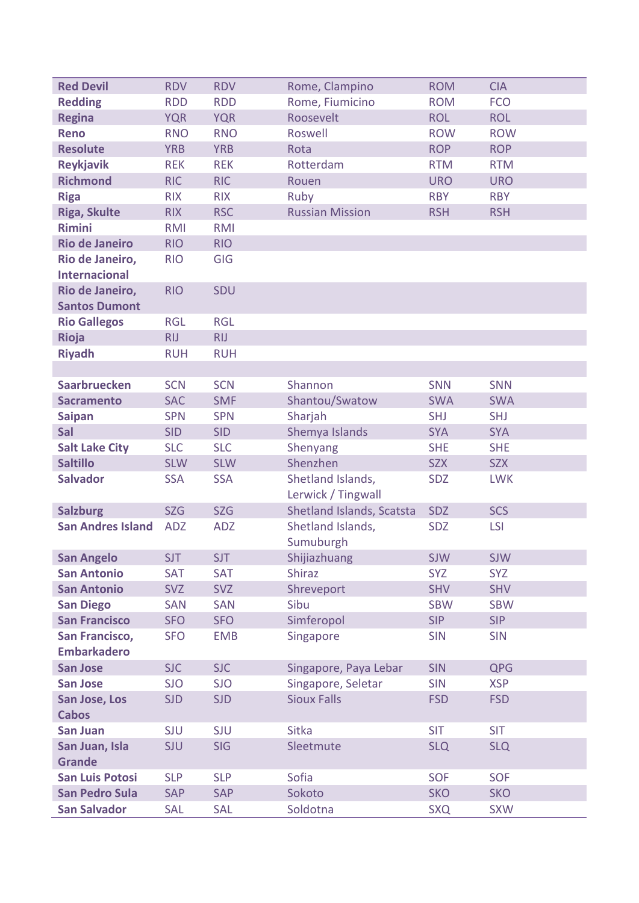| <b>Red Devil</b>                            | <b>RDV</b> | <b>RDV</b> | Rome, Clampino                 | <b>ROM</b> | <b>CIA</b> |
|---------------------------------------------|------------|------------|--------------------------------|------------|------------|
| <b>Redding</b>                              | <b>RDD</b> | <b>RDD</b> | Rome, Fiumicino                | <b>ROM</b> | <b>FCO</b> |
| <b>Regina</b>                               | <b>YQR</b> | <b>YQR</b> | Roosevelt                      | <b>ROL</b> | <b>ROL</b> |
| <b>Reno</b>                                 | <b>RNO</b> | <b>RNO</b> | Roswell                        | <b>ROW</b> | <b>ROW</b> |
| <b>Resolute</b>                             | <b>YRB</b> | <b>YRB</b> | Rota                           | <b>ROP</b> | <b>ROP</b> |
| <b>Reykjavik</b>                            | <b>REK</b> | <b>REK</b> | Rotterdam                      | <b>RTM</b> | <b>RTM</b> |
| <b>Richmond</b>                             | <b>RIC</b> | <b>RIC</b> | Rouen                          | <b>URO</b> | <b>URO</b> |
| <b>Riga</b>                                 | <b>RIX</b> | <b>RIX</b> | Ruby                           | <b>RBY</b> | <b>RBY</b> |
| <b>Riga, Skulte</b>                         | <b>RIX</b> | <b>RSC</b> | <b>Russian Mission</b>         | <b>RSH</b> | <b>RSH</b> |
| <b>Rimini</b>                               | <b>RMI</b> | <b>RMI</b> |                                |            |            |
| <b>Rio de Janeiro</b>                       | <b>RIO</b> | <b>RIO</b> |                                |            |            |
| Rio de Janeiro,                             | <b>RIO</b> | GIG        |                                |            |            |
| <b>Internacional</b>                        |            |            |                                |            |            |
| Rio de Janeiro,                             | <b>RIO</b> | <b>SDU</b> |                                |            |            |
| <b>Santos Dumont</b>                        |            |            |                                |            |            |
| <b>Rio Gallegos</b>                         | <b>RGL</b> | <b>RGL</b> |                                |            |            |
| Rioja                                       | <b>RIJ</b> | <b>RIJ</b> |                                |            |            |
| <b>Riyadh</b>                               | <b>RUH</b> | <b>RUH</b> |                                |            |            |
|                                             |            |            |                                |            |            |
| <b>Saarbruecken</b>                         | <b>SCN</b> | <b>SCN</b> | Shannon                        | <b>SNN</b> | SNN        |
| <b>Sacramento</b>                           | <b>SAC</b> | <b>SMF</b> | Shantou/Swatow                 | <b>SWA</b> | <b>SWA</b> |
| <b>Saipan</b>                               | <b>SPN</b> | <b>SPN</b> | Sharjah                        | <b>SHJ</b> | <b>SHJ</b> |
| Sal                                         | <b>SID</b> | <b>SID</b> | Shemya Islands                 | <b>SYA</b> | <b>SYA</b> |
| <b>Salt Lake City</b>                       | <b>SLC</b> | <b>SLC</b> | Shenyang                       | <b>SHE</b> | <b>SHE</b> |
| <b>Saltillo</b>                             | <b>SLW</b> | <b>SLW</b> | Shenzhen                       | <b>SZX</b> | <b>SZX</b> |
| <b>Salvador</b>                             | <b>SSA</b> | <b>SSA</b> | Shetland Islands,              | <b>SDZ</b> | <b>LWK</b> |
|                                             |            |            | Lerwick / Tingwall             |            | <b>SCS</b> |
| <b>Salzburg</b><br><b>San Andres Island</b> | <b>SZG</b> | <b>SZG</b> | Shetland Islands, Scatsta      | <b>SDZ</b> |            |
|                                             | <b>ADZ</b> | <b>ADZ</b> | Shetland Islands,<br>Sumuburgh | <b>SDZ</b> | <b>LSI</b> |
| <b>San Angelo</b>                           | <b>SJT</b> | <b>SJT</b> | Shijiazhuang                   | <b>SJW</b> | <b>SJW</b> |
| <b>San Antonio</b>                          | <b>SAT</b> | <b>SAT</b> | <b>Shiraz</b>                  | <b>SYZ</b> | <b>SYZ</b> |
| <b>San Antonio</b>                          | <b>SVZ</b> | <b>SVZ</b> | Shreveport                     | <b>SHV</b> | <b>SHV</b> |
| <b>San Diego</b>                            | SAN        | <b>SAN</b> | Sibu                           | <b>SBW</b> | <b>SBW</b> |
| <b>San Francisco</b>                        | <b>SFO</b> | <b>SFO</b> | Simferopol                     | <b>SIP</b> | <b>SIP</b> |
| San Francisco,                              | <b>SFO</b> | <b>EMB</b> | Singapore                      | <b>SIN</b> | <b>SIN</b> |
| <b>Embarkadero</b>                          |            |            |                                |            |            |
| <b>San Jose</b>                             | <b>SJC</b> | <b>SJC</b> | Singapore, Paya Lebar          | <b>SIN</b> | <b>QPG</b> |
| <b>San Jose</b>                             | <b>SJO</b> | <b>SJO</b> | Singapore, Seletar             | <b>SIN</b> | <b>XSP</b> |
| San Jose, Los<br><b>Cabos</b>               | <b>SJD</b> | <b>SJD</b> | <b>Sioux Falls</b>             | <b>FSD</b> | <b>FSD</b> |
| <b>San Juan</b>                             | <b>SJU</b> | <b>SJU</b> | <b>Sitka</b>                   | <b>SIT</b> | <b>SIT</b> |
| San Juan, Isla                              | <b>SJU</b> | <b>SIG</b> | Sleetmute                      | <b>SLQ</b> | <b>SLQ</b> |
| <b>Grande</b>                               |            |            |                                |            |            |
| <b>San Luis Potosi</b>                      | <b>SLP</b> | <b>SLP</b> | Sofia                          | <b>SOF</b> | <b>SOF</b> |
| <b>San Pedro Sula</b>                       | <b>SAP</b> | <b>SAP</b> | Sokoto                         | <b>SKO</b> | <b>SKO</b> |
| <b>San Salvador</b>                         | <b>SAL</b> | <b>SAL</b> | Soldotna                       | <b>SXQ</b> | <b>SXW</b> |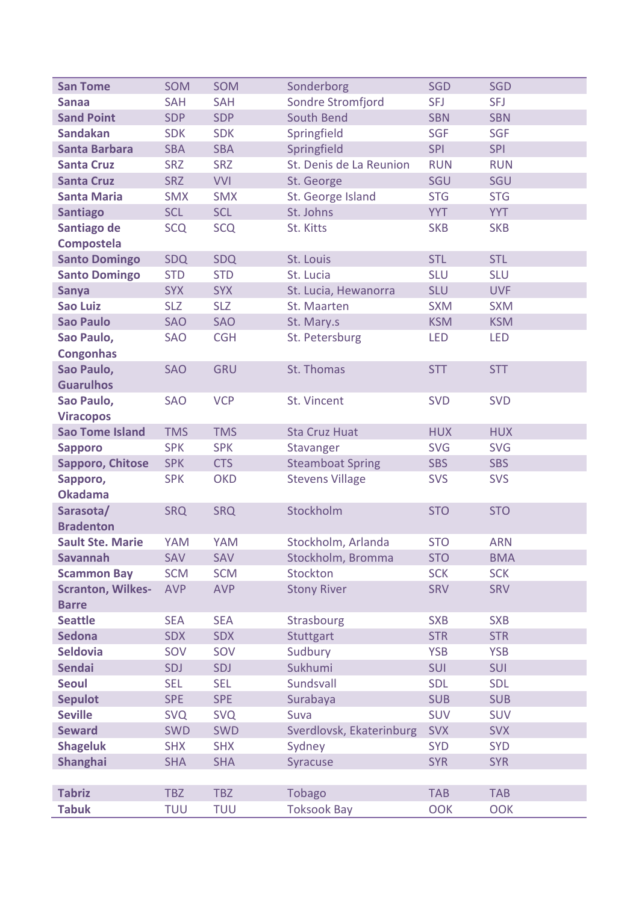| <b>San Tome</b>                          | <b>SOM</b> | SOM        | Sonderborg               | <b>SGD</b> | <b>SGD</b> |
|------------------------------------------|------------|------------|--------------------------|------------|------------|
| <b>Sanaa</b>                             | <b>SAH</b> | <b>SAH</b> | Sondre Stromfjord        | <b>SFJ</b> | <b>SFJ</b> |
| <b>Sand Point</b>                        | <b>SDP</b> | <b>SDP</b> | South Bend               | <b>SBN</b> | <b>SBN</b> |
| <b>Sandakan</b>                          | <b>SDK</b> | <b>SDK</b> | Springfield              | <b>SGF</b> | <b>SGF</b> |
| <b>Santa Barbara</b>                     | <b>SBA</b> | <b>SBA</b> | Springfield              | <b>SPI</b> | <b>SPI</b> |
| <b>Santa Cruz</b>                        | <b>SRZ</b> | <b>SRZ</b> | St. Denis de La Reunion  | <b>RUN</b> | <b>RUN</b> |
| <b>Santa Cruz</b>                        | <b>SRZ</b> | <b>VVI</b> | St. George               | SGU        | SGU        |
| <b>Santa Maria</b>                       | <b>SMX</b> | <b>SMX</b> | St. George Island        | <b>STG</b> | <b>STG</b> |
| <b>Santiago</b>                          | <b>SCL</b> | <b>SCL</b> | St. Johns                | <b>YYT</b> | <b>YYT</b> |
| Santiago de                              | <b>SCQ</b> | <b>SCQ</b> | St. Kitts                | <b>SKB</b> | <b>SKB</b> |
| <b>Compostela</b>                        |            |            |                          |            |            |
| <b>Santo Domingo</b>                     | SDQ        | <b>SDQ</b> | St. Louis                | <b>STL</b> | <b>STL</b> |
| <b>Santo Domingo</b>                     | <b>STD</b> | <b>STD</b> | St. Lucia                | <b>SLU</b> | <b>SLU</b> |
| <b>Sanya</b>                             | <b>SYX</b> | <b>SYX</b> | St. Lucia, Hewanorra     | <b>SLU</b> | <b>UVF</b> |
| <b>Sao Luiz</b>                          | <b>SLZ</b> | <b>SLZ</b> | St. Maarten              | <b>SXM</b> | <b>SXM</b> |
| <b>Sao Paulo</b>                         | <b>SAO</b> | <b>SAO</b> | St. Mary.s               | <b>KSM</b> | <b>KSM</b> |
| Sao Paulo,                               | <b>SAO</b> | <b>CGH</b> | St. Petersburg           | LED        | LED        |
| <b>Congonhas</b>                         |            |            |                          |            |            |
| Sao Paulo,                               | <b>SAO</b> | <b>GRU</b> | St. Thomas               | <b>STT</b> | <b>STT</b> |
| <b>Guarulhos</b>                         |            |            |                          |            |            |
| Sao Paulo,                               | <b>SAO</b> | <b>VCP</b> | St. Vincent              | <b>SVD</b> | <b>SVD</b> |
| <b>Viracopos</b>                         |            |            |                          |            |            |
| <b>Sao Tome Island</b>                   | <b>TMS</b> | <b>TMS</b> | <b>Sta Cruz Huat</b>     | <b>HUX</b> | <b>HUX</b> |
| <b>Sapporo</b>                           | <b>SPK</b> | <b>SPK</b> | Stavanger                | <b>SVG</b> | <b>SVG</b> |
| Sapporo, Chitose                         | <b>SPK</b> | <b>CTS</b> | <b>Steamboat Spring</b>  | <b>SBS</b> | <b>SBS</b> |
| Sapporo,                                 | <b>SPK</b> | <b>OKD</b> | <b>Stevens Village</b>   | <b>SVS</b> | <b>SVS</b> |
| <b>Okadama</b>                           |            |            |                          |            |            |
| Sarasota/                                | <b>SRQ</b> | <b>SRQ</b> | Stockholm                | <b>STO</b> | <b>STO</b> |
| <b>Bradenton</b>                         |            |            |                          |            |            |
| <b>Sault Ste. Marie</b>                  | YAM        | YAM        | Stockholm, Arlanda       | <b>STO</b> | <b>ARN</b> |
| <b>Savannah</b>                          | SAV        | <b>SAV</b> | Stockholm, Bromma        | <b>STO</b> | <b>BMA</b> |
| <b>Scammon Bay</b>                       | <b>SCM</b> | <b>SCM</b> | Stockton                 | <b>SCK</b> | <b>SCK</b> |
| <b>Scranton, Wilkes-</b><br><b>Barre</b> | <b>AVP</b> | <b>AVP</b> | <b>Stony River</b>       | <b>SRV</b> | <b>SRV</b> |
| <b>Seattle</b>                           | <b>SEA</b> | <b>SEA</b> | Strasbourg               | <b>SXB</b> | <b>SXB</b> |
| <b>Sedona</b>                            | <b>SDX</b> | <b>SDX</b> | <b>Stuttgart</b>         | <b>STR</b> | <b>STR</b> |
| <b>Seldovia</b>                          | SOV        | SOV        | Sudbury                  | <b>YSB</b> | <b>YSB</b> |
| <b>Sendai</b>                            | SDJ        | SDJ        | Sukhumi                  | <b>SUI</b> | <b>SUI</b> |
| <b>Seoul</b>                             | <b>SEL</b> | <b>SEL</b> | Sundsvall                | <b>SDL</b> | <b>SDL</b> |
| <b>Sepulot</b>                           | <b>SPE</b> | <b>SPE</b> | Surabaya                 | <b>SUB</b> | <b>SUB</b> |
| <b>Seville</b>                           | <b>SVQ</b> | <b>SVQ</b> | Suva                     | <b>SUV</b> | <b>SUV</b> |
| <b>Seward</b>                            | <b>SWD</b> | <b>SWD</b> | Sverdlovsk, Ekaterinburg | <b>SVX</b> | <b>SVX</b> |
| <b>Shageluk</b>                          | <b>SHX</b> | <b>SHX</b> | Sydney                   | <b>SYD</b> | <b>SYD</b> |
| <b>Shanghai</b>                          | <b>SHA</b> | <b>SHA</b> | Syracuse                 | <b>SYR</b> | <b>SYR</b> |
|                                          |            |            |                          |            |            |
| <b>Tabriz</b>                            | <b>TBZ</b> | <b>TBZ</b> | Tobago                   | <b>TAB</b> | <b>TAB</b> |
| <b>Tabuk</b>                             | <b>TUU</b> | <b>TUU</b> | <b>Toksook Bay</b>       | <b>OOK</b> | <b>OOK</b> |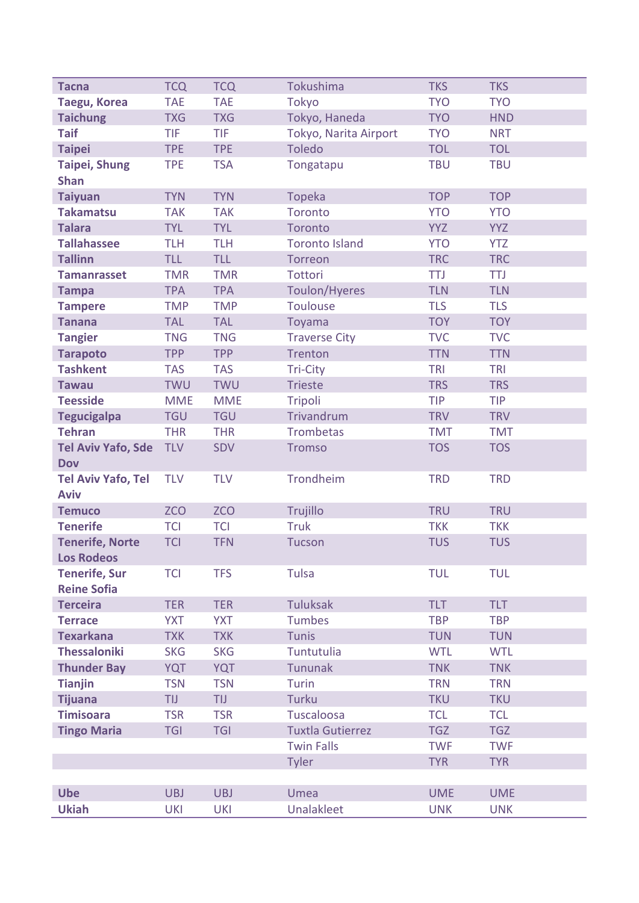| <b>Tacna</b>              | <b>TCQ</b> | <b>TCQ</b> | Tokushima               | <b>TKS</b> | <b>TKS</b> |
|---------------------------|------------|------------|-------------------------|------------|------------|
| <b>Taegu, Korea</b>       | <b>TAE</b> | <b>TAE</b> | Tokyo                   | <b>TYO</b> | <b>TYO</b> |
| <b>Taichung</b>           | <b>TXG</b> | <b>TXG</b> | Tokyo, Haneda           | <b>TYO</b> | <b>HND</b> |
| <b>Taif</b>               | <b>TIF</b> | TIF        | Tokyo, Narita Airport   | <b>TYO</b> | <b>NRT</b> |
| <b>Taipei</b>             | <b>TPE</b> | <b>TPE</b> | <b>Toledo</b>           | <b>TOL</b> | <b>TOL</b> |
| <b>Taipei, Shung</b>      | <b>TPE</b> | <b>TSA</b> | Tongatapu               | <b>TBU</b> | <b>TBU</b> |
| <b>Shan</b>               |            |            |                         |            |            |
| <b>Taiyuan</b>            | <b>TYN</b> | <b>TYN</b> | Topeka                  | <b>TOP</b> | <b>TOP</b> |
| <b>Takamatsu</b>          | <b>TAK</b> | <b>TAK</b> | Toronto                 | <b>YTO</b> | <b>YTO</b> |
| <b>Talara</b>             | <b>TYL</b> | <b>TYL</b> | Toronto                 | <b>YYZ</b> | <b>YYZ</b> |
| <b>Tallahassee</b>        | <b>TLH</b> | <b>TLH</b> | <b>Toronto Island</b>   | <b>YTO</b> | <b>YTZ</b> |
| <b>Tallinn</b>            | <b>TLL</b> | <b>TLL</b> | Torreon                 | <b>TRC</b> | <b>TRC</b> |
| <b>Tamanrasset</b>        | <b>TMR</b> | <b>TMR</b> | Tottori                 | <b>TTJ</b> | <b>TTJ</b> |
| <b>Tampa</b>              | <b>TPA</b> | <b>TPA</b> | Toulon/Hyeres           | <b>TLN</b> | <b>TLN</b> |
| <b>Tampere</b>            | <b>TMP</b> | <b>TMP</b> | Toulouse                | <b>TLS</b> | <b>TLS</b> |
| <b>Tanana</b>             | <b>TAL</b> | <b>TAL</b> | Toyama                  | <b>TOY</b> | <b>TOY</b> |
| <b>Tangier</b>            | <b>TNG</b> | <b>TNG</b> | <b>Traverse City</b>    | <b>TVC</b> | <b>TVC</b> |
| <b>Tarapoto</b>           | <b>TPP</b> | <b>TPP</b> | Trenton                 | <b>TTN</b> | <b>TTN</b> |
| <b>Tashkent</b>           | <b>TAS</b> | <b>TAS</b> | Tri-City                | <b>TRI</b> | <b>TRI</b> |
| <b>Tawau</b>              | <b>TWU</b> | <b>TWU</b> | <b>Trieste</b>          | <b>TRS</b> | <b>TRS</b> |
| <b>Teesside</b>           | <b>MME</b> | <b>MME</b> | Tripoli                 | <b>TIP</b> | <b>TIP</b> |
| <b>Tegucigalpa</b>        | <b>TGU</b> | <b>TGU</b> | Trivandrum              | <b>TRV</b> | <b>TRV</b> |
| <b>Tehran</b>             | <b>THR</b> | <b>THR</b> | <b>Trombetas</b>        | <b>TMT</b> | <b>TMT</b> |
| <b>Tel Aviv Yafo, Sde</b> | <b>TLV</b> | <b>SDV</b> | <b>Tromso</b>           | <b>TOS</b> | <b>TOS</b> |
| <b>Dov</b>                |            |            |                         |            |            |
| <b>Tel Aviv Yafo, Tel</b> | <b>TLV</b> | <b>TLV</b> | Trondheim               | <b>TRD</b> | <b>TRD</b> |
| <b>Aviv</b>               |            |            |                         |            |            |
| <b>Temuco</b>             | <b>ZCO</b> | <b>ZCO</b> | Trujillo                | <b>TRU</b> | <b>TRU</b> |
| <b>Tenerife</b>           | <b>TCI</b> | <b>TCI</b> | <b>Truk</b>             | <b>TKK</b> | <b>TKK</b> |
| <b>Tenerife, Norte</b>    | <b>TCI</b> | <b>TFN</b> | <b>Tucson</b>           | <b>TUS</b> | <b>TUS</b> |
| <b>Los Rodeos</b>         |            |            |                         |            |            |
| <b>Tenerife, Sur</b>      | <b>TCI</b> | <b>TFS</b> | <b>Tulsa</b>            | <b>TUL</b> | <b>TUL</b> |
| <b>Reine Sofia</b>        |            |            |                         |            |            |
| <b>Terceira</b>           | <b>TER</b> | <b>TER</b> | <b>Tuluksak</b>         | <b>TLT</b> | <b>TLT</b> |
| <b>Terrace</b>            | <b>YXT</b> | <b>YXT</b> | <b>Tumbes</b>           | <b>TBP</b> | <b>TBP</b> |
| <b>Texarkana</b>          | <b>TXK</b> | <b>TXK</b> | <b>Tunis</b>            | <b>TUN</b> | <b>TUN</b> |
| <b>Thessaloniki</b>       | <b>SKG</b> | <b>SKG</b> | <b>Tuntutulia</b>       | <b>WTL</b> | <b>WTL</b> |
| <b>Thunder Bay</b>        | <b>YQT</b> | <b>YQT</b> | Tununak                 | <b>TNK</b> | <b>TNK</b> |
| <b>Tianjin</b>            | <b>TSN</b> | <b>TSN</b> | Turin                   | <b>TRN</b> | <b>TRN</b> |
| <b>Tijuana</b>            | <b>TIJ</b> | <b>TIJ</b> | <b>Turku</b>            | <b>TKU</b> | <b>TKU</b> |
| <b>Timisoara</b>          | <b>TSR</b> | <b>TSR</b> | Tuscaloosa              | <b>TCL</b> | <b>TCL</b> |
| <b>Tingo Maria</b>        | <b>TGI</b> | <b>TGI</b> | <b>Tuxtla Gutierrez</b> | <b>TGZ</b> | <b>TGZ</b> |
|                           |            |            | <b>Twin Falls</b>       | <b>TWF</b> | <b>TWF</b> |
|                           |            |            | <b>Tyler</b>            | <b>TYR</b> | <b>TYR</b> |
|                           |            |            |                         |            |            |
| <b>Ube</b>                | <b>UBJ</b> | <b>UBJ</b> | Umea                    | <b>UME</b> | <b>UME</b> |
| <b>Ukiah</b>              | <b>UKI</b> | <b>UKI</b> | Unalakleet              | <b>UNK</b> | <b>UNK</b> |